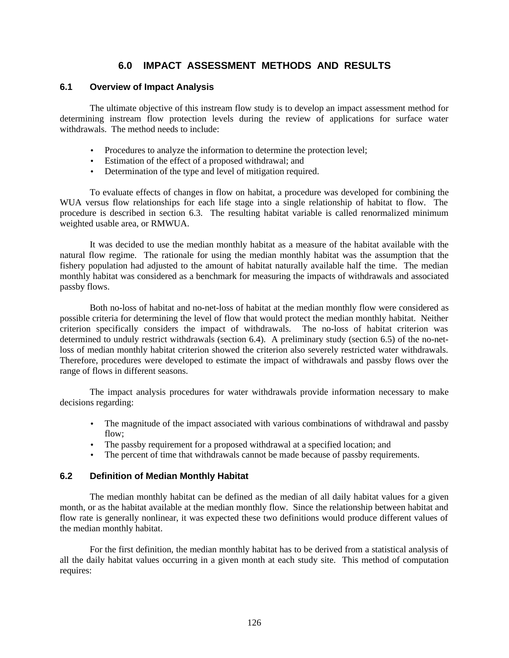# **6.0 IMPACT ASSESSMENT METHODS AND RESULTS**

# **6.1 Overview of Impact Analysis**

The ultimate objective of this instream flow study is to develop an impact assessment method for determining instream flow protection levels during the review of applications for surface water withdrawals. The method needs to include:

- Procedures to analyze the information to determine the protection level;
- Estimation of the effect of a proposed withdrawal; and
- Determination of the type and level of mitigation required.

To evaluate effects of changes in flow on habitat, a procedure was developed for combining the WUA versus flow relationships for each life stage into a single relationship of habitat to flow. The procedure is described in section 6.3. The resulting habitat variable is called renormalized minimum weighted usable area, or RMWUA.

It was decided to use the median monthly habitat as a measure of the habitat available with the natural flow regime. The rationale for using the median monthly habitat was the assumption that the fishery population had adjusted to the amount of habitat naturally available half the time. The median monthly habitat was considered as a benchmark for measuring the impacts of withdrawals and associated passby flows.

Both no-loss of habitat and no-net-loss of habitat at the median monthly flow were considered as possible criteria for determining the level of flow that would protect the median monthly habitat. Neither criterion specifically considers the impact of withdrawals. The no-loss of habitat criterion was determined to unduly restrict withdrawals (section 6.4). A preliminary study (section 6.5) of the no-netloss of median monthly habitat criterion showed the criterion also severely restricted water withdrawals. Therefore, procedures were developed to estimate the impact of withdrawals and passby flows over the range of flows in different seasons.

The impact analysis procedures for water withdrawals provide information necessary to make decisions regarding:

- The magnitude of the impact associated with various combinations of withdrawal and passby flow;
- The passby requirement for a proposed withdrawal at a specified location; and
- The percent of time that withdrawals cannot be made because of passby requirements.

# **6.2 Definition of Median Monthly Habitat**

The median monthly habitat can be defined as the median of all daily habitat values for a given month, or as the habitat available at the median monthly flow. Since the relationship between habitat and flow rate is generally nonlinear, it was expected these two definitions would produce different values of the median monthly habitat.

For the first definition, the median monthly habitat has to be derived from a statistical analysis of all the daily habitat values occurring in a given month at each study site. This method of computation requires: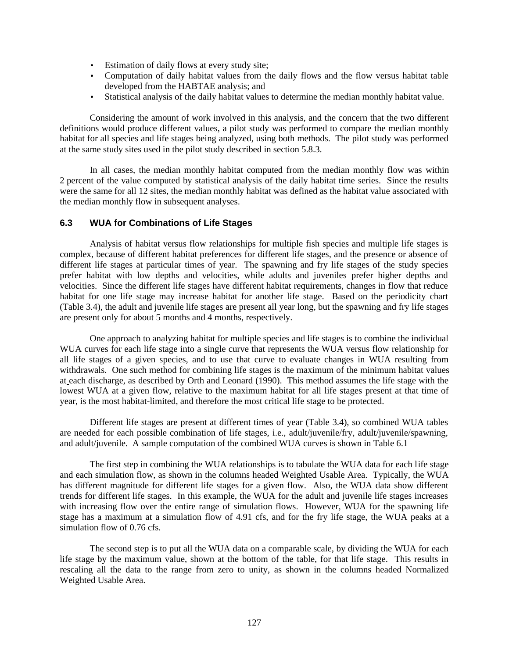- Estimation of daily flows at every study site;
- Computation of daily habitat values from the daily flows and the flow versus habitat table developed from the HABTAE analysis; and
- Statistical analysis of the daily habitat values to determine the median monthly habitat value.

Considering the amount of work involved in this analysis, and the concern that the two different definitions would produce different values, a pilot study was performed to compare the median monthly habitat for all species and life stages being analyzed, using both methods. The pilot study was performed at the same study sites used in the pilot study described in section 5.8.3.

In all cases, the median monthly habitat computed from the median monthly flow was within 2 percent of the value computed by statistical analysis of the daily habitat time series. Since the results were the same for all 12 sites, the median monthly habitat was defined as the habitat value associated with the median monthly flow in subsequent analyses.

## **6.3 WUA for Combinations of Life Stages**

Analysis of habitat versus flow relationships for multiple fish species and multiple life stages is complex, because of different habitat preferences for different life stages, and the presence or absence of different life stages at particular times of year. The spawning and fry life stages of the study species prefer habitat with low depths and velocities, while adults and juveniles prefer higher depths and velocities. Since the different life stages have different habitat requirements, changes in flow that reduce habitat for one life stage may increase habitat for another life stage. Based on the periodicity chart (Table 3.4), the adult and juvenile life stages are present all year long, but the spawning and fry life stages are present only for about 5 months and 4 months, respectively.

One approach to analyzing habitat for multiple species and life stages is to combine the individual WUA curves for each life stage into a single curve that represents the WUA versus flow relationship for all life stages of a given species, and to use that curve to evaluate changes in WUA resulting from withdrawals. One such method for combining life stages is the maximum of the minimum habitat values at each discharge, as described by Orth and Leonard (1990). This method assumes the life stage with the lowest WUA at a given flow, relative to the maximum habitat for all life stages present at that time of year, is the most habitat-limited, and therefore the most critical life stage to be protected.

Different life stages are present at different times of year (Table 3.4), so combined WUA tables are needed for each possible combination of life stages, i.e., adult/juvenile/fry, adult/juvenile/spawning, and adult/juvenile. A sample computation of the combined WUA curves is shown in Table 6.1

The first step in combining the WUA relationships is to tabulate the WUA data for each life stage and each simulation flow, as shown in the columns headed Weighted Usable Area. Typically, the WUA has different magnitude for different life stages for a given flow. Also, the WUA data show different trends for different life stages. In this example, the WUA for the adult and juvenile life stages increases with increasing flow over the entire range of simulation flows. However, WUA for the spawning life stage has a maximum at a simulation flow of 4.91 cfs, and for the fry life stage, the WUA peaks at a simulation flow of 0.76 cfs.

The second step is to put all the WUA data on a comparable scale, by dividing the WUA for each life stage by the maximum value, shown at the bottom of the table, for that life stage. This results in rescaling all the data to the range from zero to unity, as shown in the columns headed Normalized Weighted Usable Area.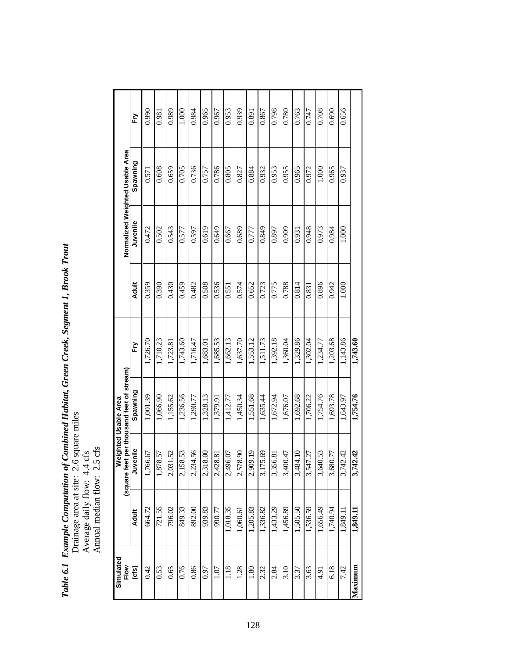Table 6.1 Example Computation of Combined Habitat, Green Creek, Segment 1, Brook Trout<br>Drainage area at site: 2.6 square miles<br>Average daily flow: 4.4 cfs<br>Annual median flow: 2.5 cfs *Table 6.1 Example Computation of Combined Habitat, Green Creek, Segment 1, Brook Trout* Drainage area at site: 2.6 square miles Average daily flow: 4.4 cfs

Annual median flow: 2.5 cfs

| Simulated |              |                                           | <b>Weighted Usable Area</b> |          |              |          |                                 |       |
|-----------|--------------|-------------------------------------------|-----------------------------|----------|--------------|----------|---------------------------------|-------|
| Flow      |              | (square feet per thousand feet of stream) |                             |          |              |          | Normalized Weighted Usable Area |       |
| (cts)     | <b>Adult</b> | Juvenile                                  | Spawning                    | Fry      | <b>Adult</b> | Juvenile | Spawning                        | Fry   |
| 0.42      | 664.72       | 1,766.67                                  | 1,001.39                    | 1,726.70 | 0.359        | 0.472    | 0.571                           | 0.990 |
| 0.53      | 721.55       | 1,878.57                                  | 1,066.90                    | 1,710.23 | 0.390        | 0.502    | 0.608                           | 0.981 |
| 0.65      | 796.02       | .52<br>2,031.                             | 1,155.62                    | 1,723.81 | 0.430        | 0.543    | 0.659                           | 0.989 |
| 0.76      | 849.33       | 2,158.53                                  | 1,236.56                    | 1,743.60 | 0.459        | 0.577    | 0.705                           | 1.000 |
| 0.86      | 892.00       | 2,234.56                                  | 1,290.77                    | 1,716.47 | 0.482        | 0.597    | 0.736                           | 0.984 |
| 0.97      | 939.83       | 2,318.00                                  | 1,328.13                    | 1,683.01 | 0.508        | 0.619    | 0.757                           | 0.965 |
| 1.07      | 990.77       | 2,428.81                                  | 1,379.91                    | 1,685.53 | 0.536        | 0.649    | 0.786                           | 0.967 |
| 1.18      | 1,018.35     | 2,496.07                                  | 1,412.77                    | 1,662.13 | 0.551        | 0.667    | 0.805                           | 0.953 |
| 1.28      | 1,060.61     | 2,578.90                                  | 1,450.34                    | 1,637.70 | 0.574        | 0.689    | 0.827                           | 0.939 |
| 1.80      | 1,205.83     | 2,909.19                                  | 1,551.68                    | 1,553.12 | 0.652        | 0.777    | 0.884                           | 0.891 |
| 2.32      | 1,336.82     | 3,175.69                                  | 1,635.44                    | 1,511.73 | 0.723        | 0.849    | 0.932                           | 0.867 |
| 2.84      | 1,433.29     | $\overline{8}$<br>3,356.                  | 1,672.94                    | 1,392.18 | 0.775        | 0.897    | 0.953                           | 0.798 |
| 3.10      | 1,456.89     | 3,400.47                                  | 1,676.07                    | 1,360.04 | 0.788        | 0.909    | 0.955                           | 0.780 |
| 3.37      | 1,505.50     | 3,484.10                                  | 1,692.68                    | 1,329.86 | 0.814        | 0.931    | 0.965                           | 0.763 |
| 3.63      | 1,536.59     | Ċ.<br>3,547.                              | 1,706.22                    | 1,302.04 | 0.831        | 0.948    | 0.972                           | 0.747 |
| 4.91      | 1,656.49     | 3,640.53                                  | 1,754.76                    | 1,234.77 | 0.896        | 0.973    | 1.000                           | 0.708 |
| 6.18      | 1,740.94     | 3,680.77                                  | 1,693.78                    | 1,203.68 | 0.942        | 0.984    | 0.965                           | 0.690 |
| 7.42      | 1,849.11     | 3,742.42                                  | 1,643.97                    | 1,143.86 | 1.000        | 1.000    | 0.937                           | 0.656 |
| Maximum   | 1,849.11     | 3,742.42                                  | 1,754.76                    | 1,743.60 |              |          |                                 |       |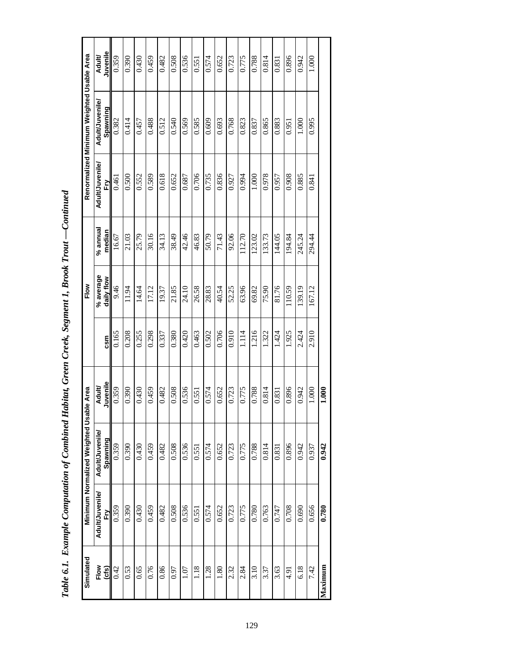| Simulated     |                       | Minimum Normalized Weighted Usab | le Area            |       | Flow                    |                      |                      | Renormalized Minimum Weighted Usable Area |                    |
|---------------|-----------------------|----------------------------------|--------------------|-------|-------------------------|----------------------|----------------------|-------------------------------------------|--------------------|
| Flow<br>(cfs) | Adult/Juvenile/<br>ÈŊ | Adult/Juvenile/<br>Spawning      | Juvenile<br>Adult/ | csm   | % average<br>daily flow | $%$ annual<br>median | Adult/Juvenile/<br>È | Adult/Juvenile/<br>Spawning               | Juvenile<br>Adult/ |
| 0.42          | 0.359                 | 0.359                            | 0.359              | 0.165 | 9.46                    | 16.67                | 0.461                | 0.382                                     | 0.359              |
| 0.53          | 0.390                 | 0.390                            | 0.390              | 0.208 | 11.94                   | 21.03                | 0.500                | 0.414                                     | 0.390              |
| 0.65          | 0.430                 | 0.430                            | 0.430              | 0.255 | 14.64                   | 25.79                | 0.552                | 0.457                                     | 0.430              |
| 0.76          | 0.459                 | 0.459                            | 0.459              | 0.298 | 17.12                   | 30.16                | 0.589                | 0.488                                     | 0.459              |
| 0.86          | 0.482                 | 0.482                            | 0.482              | 0.337 | 19.37                   | 34.13                | 0.618                | 0.512                                     | 0.482              |
| 0.97          | 0.508                 | 0.508                            | 0.508              | 0.380 | 21.85                   | 38.49                | 0.652                | 0.540                                     | 0.508              |
| $1.07\,$      | 0.536                 | 0.536                            | 0.536              | 0.420 | 24.10                   | 42.46                | 0.687                | 0.569                                     | 0.536              |
| 1.18          | 0.551                 | 0.551                            | 0.551              | 0.463 | 26.58                   | 46.83                | 0.706                | 0.585                                     | 0.551              |
| 1.28          | 0.574                 | 0.574                            | 0.574              | 0.502 | 28.83                   | 50.79                | 0.735                | 0.609                                     | 0.574              |
| 1.80          | 0.652                 | 0.652                            | 0.652              | 0.706 | 40.54                   | 71.43                | 0.836                | 0.693                                     | 0.652              |
| 2.32          | 0.723                 | 0.723                            | 0.723              | 0.910 | 52.25                   | 92.06                | 0.927                | 0.768                                     | 0.723              |
| 2.84          | 0.775                 | 0.775                            | 0.775              | 1.114 | 63.96                   | 112.70               | 0.994                | 0.823                                     | 0.775              |
| 3.10          | 0.780                 | 0.788                            | 0.788              | 1.216 | 69.82                   | 123.02               | 1.000                | 0.837                                     | 0.788              |
| 3.37          | 0.763                 | 0.814                            | 0.814              | 1.322 | 75.90                   | 133.73               | 0.978                | 0.865                                     | 0.814              |
| 3.63          | 0.747                 | 0.831                            | 0.831              | 1.424 | 81.76                   | 144.05               | 0.957                | 0.883                                     | 0.831              |
| 4.91          | 0.708                 | 0.896                            | 0.896              | 1.925 | 110.59                  | 194.84               | 0.908                | 0.951                                     | 0.896              |
| 6.18          | 0.690                 | 0.942                            | 0.942              | 2.424 | 139.19                  | 245.24               | 0.885                | 1.000                                     | 0.942              |
| 7.42          | 0.656                 | 0.937                            | 1.000              | 2.910 | 167.12                  | 294.44               | 0.841                | 0.995                                     | 1.000              |
| Maximum       | 0.780                 | 0.942                            | 1.000              |       |                         |                      |                      |                                           |                    |

| l                        |
|--------------------------|
| ļ                        |
|                          |
| i                        |
| ľ<br>ׇ֚֘                 |
|                          |
| י<br>֕                   |
|                          |
| )                        |
| Į                        |
|                          |
| Ì                        |
| l                        |
|                          |
|                          |
|                          |
|                          |
|                          |
|                          |
|                          |
|                          |
|                          |
| $\overline{\phantom{a}}$ |
|                          |
|                          |
| l                        |
| ļ                        |
| ļ                        |
|                          |
| ţ<br>ľ<br>l              |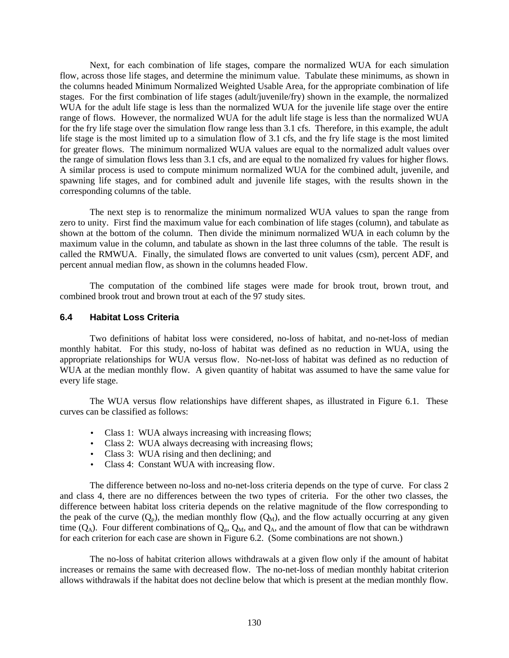Next, for each combination of life stages, compare the normalized WUA for each simulation flow, across those life stages, and determine the minimum value. Tabulate these minimums, as shown in the columns headed Minimum Normalized Weighted Usable Area, for the appropriate combination of life stages. For the first combination of life stages (adult/juvenile/fry) shown in the example, the normalized WUA for the adult life stage is less than the normalized WUA for the juvenile life stage over the entire range of flows. However, the normalized WUA for the adult life stage is less than the normalized WUA for the fry life stage over the simulation flow range less than 3.1 cfs. Therefore, in this example, the adult life stage is the most limited up to a simulation flow of 3.1 cfs, and the fry life stage is the most limited for greater flows. The minimum normalized WUA values are equal to the normalized adult values over the range of simulation flows less than 3.1 cfs, and are equal to the nomalized fry values for higher flows. A similar process is used to compute minimum normalized WUA for the combined adult, juvenile, and spawning life stages, and for combined adult and juvenile life stages, with the results shown in the corresponding columns of the table.

The next step is to renormalize the minimum normalized WUA values to span the range from zero to unity. First find the maximum value for each combination of life stages (column), and tabulate as shown at the bottom of the column. Then divide the minimum normalized WUA in each column by the maximum value in the column, and tabulate as shown in the last three columns of the table. The result is called the RMWUA. Finally, the simulated flows are converted to unit values (csm), percent ADF, and percent annual median flow, as shown in the columns headed Flow.

The computation of the combined life stages were made for brook trout, brown trout, and combined brook trout and brown trout at each of the 97 study sites.

#### **6.4 Habitat Loss Criteria**

Two definitions of habitat loss were considered, no-loss of habitat, and no-net-loss of median monthly habitat. For this study, no-loss of habitat was defined as no reduction in WUA, using the appropriate relationships for WUA versus flow. No-net-loss of habitat was defined as no reduction of WUA at the median monthly flow. A given quantity of habitat was assumed to have the same value for every life stage.

The WUA versus flow relationships have different shapes, as illustrated in Figure 6.1. These curves can be classified as follows:

- Class 1: WUA always increasing with increasing flows;
- Class 2: WUA always decreasing with increasing flows;
- Class 3: WUA rising and then declining; and
- Class 4: Constant WUA with increasing flow.

The difference between no-loss and no-net-loss criteria depends on the type of curve. For class 2 and class 4, there are no differences between the two types of criteria. For the other two classes, the difference between habitat loss criteria depends on the relative magnitude of the flow corresponding to the peak of the curve  $(Q_p)$ , the median monthly flow  $(Q_M)$ , and the flow actually occurring at any given time  $(Q_A)$ . Four different combinations of  $Q_p$ ,  $Q_M$ , and  $Q_A$ , and the amount of flow that can be withdrawn for each criterion for each case are shown in Figure 6.2. (Some combinations are not shown.)

The no-loss of habitat criterion allows withdrawals at a given flow only if the amount of habitat increases or remains the same with decreased flow. The no-net-loss of median monthly habitat criterion allows withdrawals if the habitat does not decline below that which is present at the median monthly flow.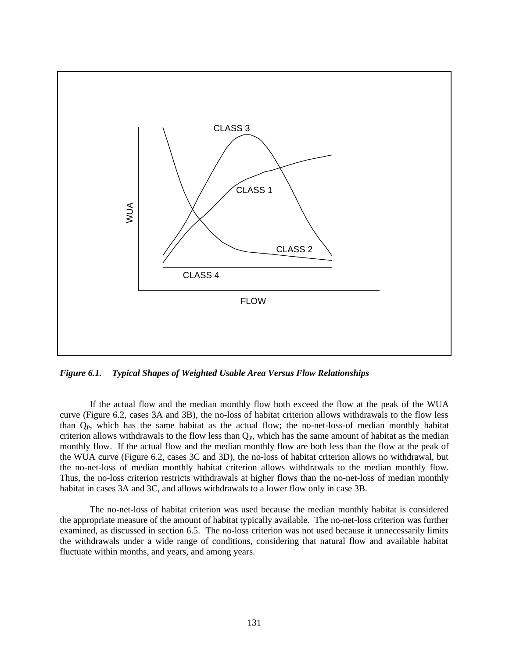

*Figure 6.1. Typical Shapes of Weighted Usable Area Versus Flow Relationships*

If the actual flow and the median monthly flow both exceed the flow at the peak of the WUA curve (Figure 6.2, cases 3A and 3B), the no-loss of habitat criterion allows withdrawals to the flow less than  $Q<sub>P</sub>$ , which has the same habitat as the actual flow; the no-net-loss-of median monthly habitat criterion allows withdrawals to the flow less than  $Q<sub>P</sub>$ , which has the same amount of habitat as the median monthly flow. If the actual flow and the median monthly flow are both less than the flow at the peak of the WUA curve (Figure 6.2, cases 3C and 3D), the no-loss of habitat criterion allows no withdrawal, but the no-net-loss of median monthly habitat criterion allows withdrawals to the median monthly flow. Thus, the no-loss criterion restricts withdrawals at higher flows than the no-net-loss of median monthly habitat in cases 3A and 3C, and allows withdrawals to a lower flow only in case 3B.

The no-net-loss of habitat criterion was used because the median monthly habitat is considered the appropriate measure of the amount of habitat typically available. The no-net-loss criterion was further examined, as discussed in section 6.5. The no-loss criterion was not used because it unnecessarily limits the withdrawals under a wide range of conditions, considering that natural flow and available habitat fluctuate within months, and years, and among years.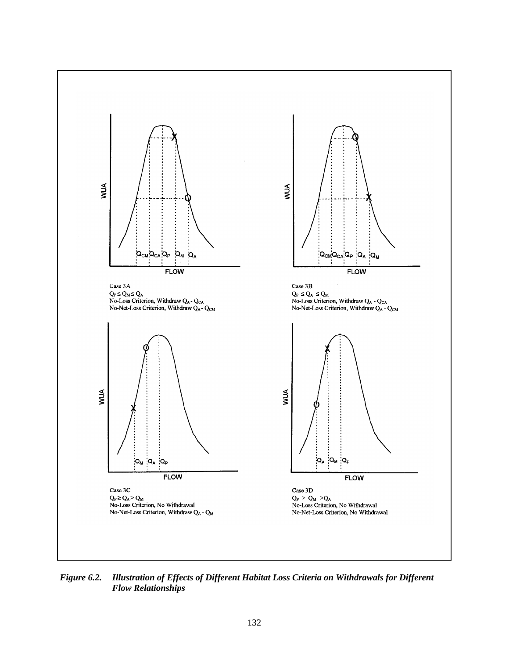

*Figure 6.2. Illustration of Effects of Different Habitat Loss Criteria on Withdrawals for Different Flow Relationships*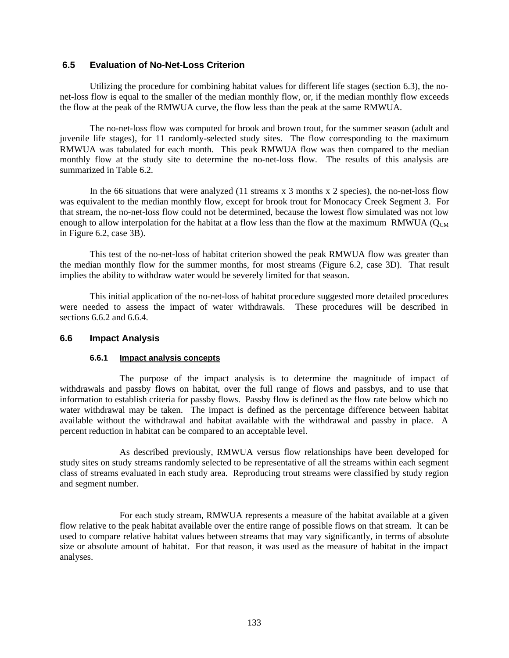## **6.5 Evaluation of No-Net-Loss Criterion**

Utilizing the procedure for combining habitat values for different life stages (section 6.3), the nonet-loss flow is equal to the smaller of the median monthly flow, or, if the median monthly flow exceeds the flow at the peak of the RMWUA curve, the flow less than the peak at the same RMWUA.

The no-net-loss flow was computed for brook and brown trout, for the summer season (adult and juvenile life stages), for 11 randomly-selected study sites. The flow corresponding to the maximum RMWUA was tabulated for each month. This peak RMWUA flow was then compared to the median monthly flow at the study site to determine the no-net-loss flow. The results of this analysis are summarized in Table 6.2.

In the 66 situations that were analyzed (11 streams x 3 months x 2 species), the no-net-loss flow was equivalent to the median monthly flow, except for brook trout for Monocacy Creek Segment 3. For that stream, the no-net-loss flow could not be determined, because the lowest flow simulated was not low enough to allow interpolation for the habitat at a flow less than the flow at the maximum RMWUA ( $Q_{CM}$ ) in Figure 6.2, case 3B).

This test of the no-net-loss of habitat criterion showed the peak RMWUA flow was greater than the median monthly flow for the summer months, for most streams (Figure 6.2, case 3D). That result implies the ability to withdraw water would be severely limited for that season.

This initial application of the no-net-loss of habitat procedure suggested more detailed procedures were needed to assess the impact of water withdrawals. These procedures will be described in sections 6.6.2 and 6.6.4.

#### **6.6 Impact Analysis**

#### **6.6.1 Impact analysis concepts**

The purpose of the impact analysis is to determine the magnitude of impact of withdrawals and passby flows on habitat, over the full range of flows and passbys, and to use that information to establish criteria for passby flows. Passby flow is defined as the flow rate below which no water withdrawal may be taken. The impact is defined as the percentage difference between habitat available without the withdrawal and habitat available with the withdrawal and passby in place. A percent reduction in habitat can be compared to an acceptable level.

As described previously, RMWUA versus flow relationships have been developed for study sites on study streams randomly selected to be representative of all the streams within each segment class of streams evaluated in each study area. Reproducing trout streams were classified by study region and segment number.

For each study stream, RMWUA represents a measure of the habitat available at a given flow relative to the peak habitat available over the entire range of possible flows on that stream. It can be used to compare relative habitat values between streams that may vary significantly, in terms of absolute size or absolute amount of habitat. For that reason, it was used as the measure of habitat in the impact analyses.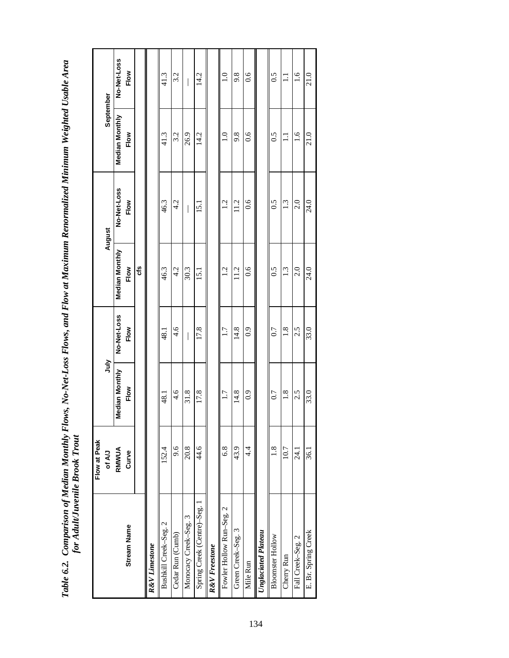Table 6.2. Comparison of Median Monthly Flows, No-Net-Loss Flows, and Flow at Maximum Renormalized Minimum Weighted Usable Area<br>for Adult/Juvenile Brook Trout *Table 6.2. Comparison of Median Monthly Flows, No-Net-Loss Flows, and Flow at Maximum Renormalized Minimum Weighted Usable Area for Adult/Juvenile Brook Trout*

|                            | Flow at Peak<br>of A/J | ήπ                     |                     |                               | August              | September              |                     |
|----------------------------|------------------------|------------------------|---------------------|-------------------------------|---------------------|------------------------|---------------------|
| <b>Stream Name</b>         | RMWUA<br>Curve         | Median Monthly<br>Flow | No-Net-Loss<br>Flow | <b>Median Monthly</b><br>Flow | No-Net-Loss<br>Flow | Median Monthly<br>Flow | No-Net-Loss<br>Flow |
|                            |                        |                        |                     | ೮                             |                     |                        |                     |
| R&V Limestone              |                        |                        |                     |                               |                     |                        |                     |
| Bushkill Creek-Seg. 2      | 152.4                  | $\frac{1}{8}$          | $\frac{18}{18}$     | 46.3                          | 46.3                | 41.3                   | 41.3                |
| Cedar Run (Cumb)           | 9.6                    | 4.6                    | $\frac{4.6}{4}$     | 4.2                           | 4.2                 | 3.2                    | 3.2                 |
| Monocacy Creek-Seg. 3      | 20.8                   | 31.8                   |                     | 30.3                          |                     | 26.9                   |                     |
| Spring Creek (Centre)-Seg. | 44.6                   | 17.8                   | 17.8                | 15.1                          | $\overline{5}$      | 14.2                   | 14.2                |
| R&V Freestone              |                        |                        |                     |                               |                     |                        |                     |
| Fowler Hollow Run-Seg. 2   | 6.8                    | 1.7                    | 1.7                 | 1.2                           | 1.2                 | $\frac{0}{1}$          | $\frac{0}{1}$       |
| Green Creek-Seg. 3         | 43.9                   | 14.8                   | 14.8                | 11.2                          | 11.2                | 9.8                    | 9.8                 |
| Mile Run                   | 4.4                    | 0.9                    | $\overline{0.9}$    | $\overline{0.6}$              | 0.6                 | $\frac{6}{1}$          | $\frac{6}{1}$       |
| <b>Unglaciated Plateau</b> |                        |                        |                     |                               |                     |                        |                     |
| <b>Bloomster Hollow</b>    | 1.8                    | 0.7                    | 0.7                 | 0.5                           | 0.5                 | 0.5                    | 0.5                 |
| Cherry Run                 | 10.7                   | 1.8                    | $\frac{8}{1}$       | $1.\overline{3}$              | 1.3                 | ニ                      | ニ                   |
| Fall Creek-Seg. 2          | $\overline{24}$        | 2.5                    | 2.5                 | $\frac{0}{2}$                 | 2.0                 | $\frac{6}{1}$          | $\frac{6}{1}$       |
| E. Br. Spring Creek        | 36.1                   | 33.0                   | 33.0                | 24.0                          | 24.0                | 21.0                   | 21.0                |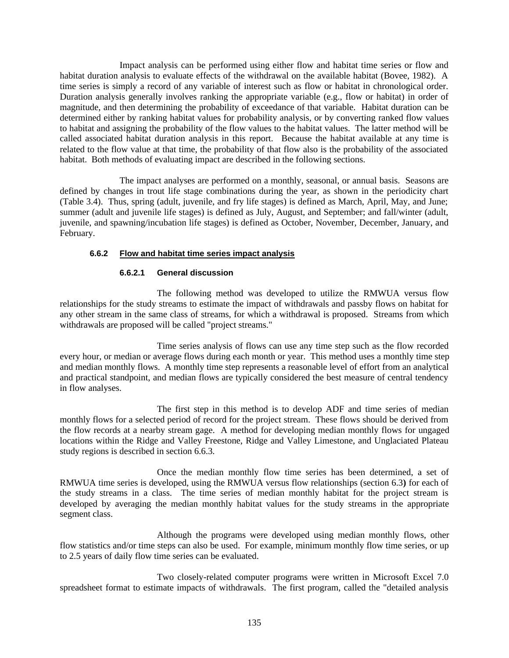Impact analysis can be performed using either flow and habitat time series or flow and habitat duration analysis to evaluate effects of the withdrawal on the available habitat (Bovee, 1982). A time series is simply a record of any variable of interest such as flow or habitat in chronological order. Duration analysis generally involves ranking the appropriate variable (e.g., flow or habitat) in order of magnitude, and then determining the probability of exceedance of that variable. Habitat duration can be determined either by ranking habitat values for probability analysis, or by converting ranked flow values to habitat and assigning the probability of the flow values to the habitat values. The latter method will be called associated habitat duration analysis in this report. Because the habitat available at any time is related to the flow value at that time, the probability of that flow also is the probability of the associated habitat. Both methods of evaluating impact are described in the following sections.

The impact analyses are performed on a monthly, seasonal, or annual basis. Seasons are defined by changes in trout life stage combinations during the year, as shown in the periodicity chart (Table 3.4). Thus, spring (adult, juvenile, and fry life stages) is defined as March, April, May, and June; summer (adult and juvenile life stages) is defined as July, August, and September; and fall/winter (adult, juvenile, and spawning/incubation life stages) is defined as October, November, December, January, and February.

## **6.6.2 Flow and habitat time series impact analysis**

#### **6.6.2.1 General discussion**

The following method was developed to utilize the RMWUA versus flow relationships for the study streams to estimate the impact of withdrawals and passby flows on habitat for any other stream in the same class of streams, for which a withdrawal is proposed. Streams from which withdrawals are proposed will be called "project streams."

Time series analysis of flows can use any time step such as the flow recorded every hour, or median or average flows during each month or year. This method uses a monthly time step and median monthly flows. A monthly time step represents a reasonable level of effort from an analytical and practical standpoint, and median flows are typically considered the best measure of central tendency in flow analyses.

The first step in this method is to develop ADF and time series of median monthly flows for a selected period of record for the project stream. These flows should be derived from the flow records at a nearby stream gage. A method for developing median monthly flows for ungaged locations within the Ridge and Valley Freestone, Ridge and Valley Limestone, and Unglaciated Plateau study regions is described in section 6.6.3.

Once the median monthly flow time series has been determined, a set of RMWUA time series is developed, using the RMWUA versus flow relationships (section 6.3**)** for each of the study streams in a class. The time series of median monthly habitat for the project stream is developed by averaging the median monthly habitat values for the study streams in the appropriate segment class.

Although the programs were developed using median monthly flows, other flow statistics and/or time steps can also be used. For example, minimum monthly flow time series, or up to 2.5 years of daily flow time series can be evaluated.

Two closely-related computer programs were written in Microsoft Excel 7.0 spreadsheet format to estimate impacts of withdrawals. The first program, called the "detailed analysis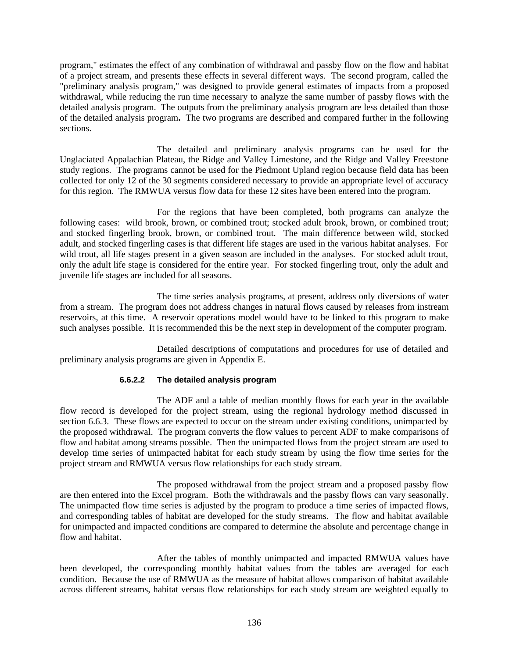program," estimates the effect of any combination of withdrawal and passby flow on the flow and habitat of a project stream, and presents these effects in several different ways. The second program, called the "preliminary analysis program," was designed to provide general estimates of impacts from a proposed withdrawal, while reducing the run time necessary to analyze the same number of passby flows with the detailed analysis program. The outputs from the preliminary analysis program are less detailed than those of the detailed analysis program**.** The two programs are described and compared further in the following sections.

The detailed and preliminary analysis programs can be used for the Unglaciated Appalachian Plateau, the Ridge and Valley Limestone, and the Ridge and Valley Freestone study regions. The programs cannot be used for the Piedmont Upland region because field data has been collected for only 12 of the 30 segments considered necessary to provide an appropriate level of accuracy for this region. The RMWUA versus flow data for these 12 sites have been entered into the program.

For the regions that have been completed, both programs can analyze the following cases: wild brook, brown, or combined trout; stocked adult brook, brown, or combined trout; and stocked fingerling brook, brown, or combined trout. The main difference between wild, stocked adult, and stocked fingerling cases is that different life stages are used in the various habitat analyses. For wild trout, all life stages present in a given season are included in the analyses. For stocked adult trout, only the adult life stage is considered for the entire year. For stocked fingerling trout, only the adult and juvenile life stages are included for all seasons.

The time series analysis programs, at present, address only diversions of water from a stream. The program does not address changes in natural flows caused by releases from instream reservoirs, at this time. A reservoir operations model would have to be linked to this program to make such analyses possible. It is recommended this be the next step in development of the computer program.

Detailed descriptions of computations and procedures for use of detailed and preliminary analysis programs are given in Appendix E.

# **6.6.2.2 The detailed analysis program**

The ADF and a table of median monthly flows for each year in the available flow record is developed for the project stream, using the regional hydrology method discussed in section 6.6.3. These flows are expected to occur on the stream under existing conditions, unimpacted by the proposed withdrawal. The program converts the flow values to percent ADF to make comparisons of flow and habitat among streams possible. Then the unimpacted flows from the project stream are used to develop time series of unimpacted habitat for each study stream by using the flow time series for the project stream and RMWUA versus flow relationships for each study stream.

The proposed withdrawal from the project stream and a proposed passby flow are then entered into the Excel program. Both the withdrawals and the passby flows can vary seasonally. The unimpacted flow time series is adjusted by the program to produce a time series of impacted flows, and corresponding tables of habitat are developed for the study streams. The flow and habitat available for unimpacted and impacted conditions are compared to determine the absolute and percentage change in flow and habitat.

After the tables of monthly unimpacted and impacted RMWUA values have been developed, the corresponding monthly habitat values from the tables are averaged for each condition. Because the use of RMWUA as the measure of habitat allows comparison of habitat available across different streams, habitat versus flow relationships for each study stream are weighted equally to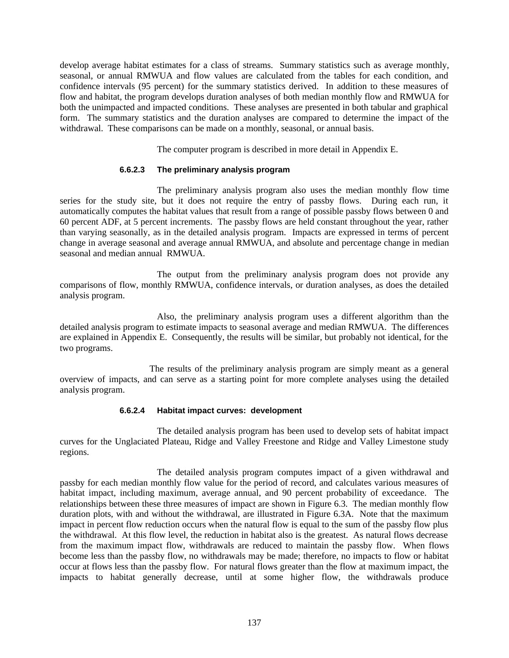develop average habitat estimates for a class of streams. Summary statistics such as average monthly, seasonal, or annual RMWUA and flow values are calculated from the tables for each condition, and confidence intervals (95 percent) for the summary statistics derived. In addition to these measures of flow and habitat, the program develops duration analyses of both median monthly flow and RMWUA for both the unimpacted and impacted conditions. These analyses are presented in both tabular and graphical form. The summary statistics and the duration analyses are compared to determine the impact of the withdrawal. These comparisons can be made on a monthly, seasonal, or annual basis.

The computer program is described in more detail in Appendix E.

#### **6.6.2.3 The preliminary analysis program**

The preliminary analysis program also uses the median monthly flow time series for the study site, but it does not require the entry of passby flows. During each run, it automatically computes the habitat values that result from a range of possible passby flows between 0 and 60 percent ADF, at 5 percent increments. The passby flows are held constant throughout the year, rather than varying seasonally, as in the detailed analysis program. Impacts are expressed in terms of percent change in average seasonal and average annual RMWUA, and absolute and percentage change in median seasonal and median annual RMWUA.

The output from the preliminary analysis program does not provide any comparisons of flow, monthly RMWUA, confidence intervals, or duration analyses, as does the detailed analysis program.

Also, the preliminary analysis program uses a different algorithm than the detailed analysis program to estimate impacts to seasonal average and median RMWUA. The differences are explained in Appendix E. Consequently, the results will be similar, but probably not identical, for the two programs.

The results of the preliminary analysis program are simply meant as a general overview of impacts, and can serve as a starting point for more complete analyses using the detailed analysis program.

#### **6.6.2.4 Habitat impact curves: development**

The detailed analysis program has been used to develop sets of habitat impact curves for the Unglaciated Plateau, Ridge and Valley Freestone and Ridge and Valley Limestone study regions.

The detailed analysis program computes impact of a given withdrawal and passby for each median monthly flow value for the period of record, and calculates various measures of habitat impact, including maximum, average annual, and 90 percent probability of exceedance. The relationships between these three measures of impact are shown in Figure 6.3. The median monthly flow duration plots, with and without the withdrawal, are illustrated in Figure 6.3A. Note that the maximum impact in percent flow reduction occurs when the natural flow is equal to the sum of the passby flow plus the withdrawal. At this flow level, the reduction in habitat also is the greatest. As natural flows decrease from the maximum impact flow, withdrawals are reduced to maintain the passby flow. When flows become less than the passby flow, no withdrawals may be made; therefore, no impacts to flow or habitat occur at flows less than the passby flow. For natural flows greater than the flow at maximum impact, the impacts to habitat generally decrease, until at some higher flow, the withdrawals produce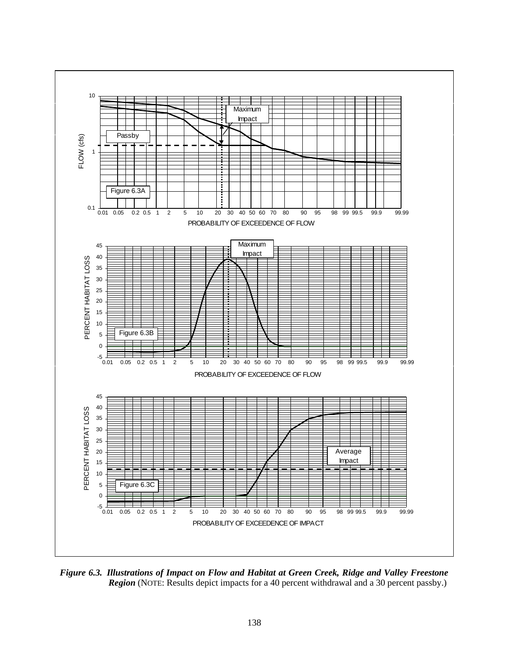

*Figure 6.3. Illustrations of Impact on Flow and Habitat at Green Creek, Ridge and Valley Freestone Region* (NOTE: Results depict impacts for a 40 percent withdrawal and a 30 percent passby.)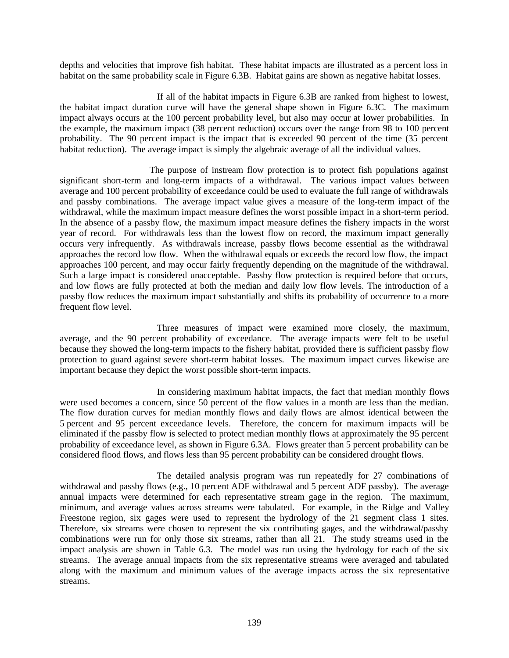depths and velocities that improve fish habitat. These habitat impacts are illustrated as a percent loss in habitat on the same probability scale in Figure 6.3B. Habitat gains are shown as negative habitat losses.

If all of the habitat impacts in Figure 6.3B are ranked from highest to lowest, the habitat impact duration curve will have the general shape shown in Figure 6.3C. The maximum impact always occurs at the 100 percent probability level, but also may occur at lower probabilities. In the example, the maximum impact (38 percent reduction) occurs over the range from 98 to 100 percent probability. The 90 percent impact is the impact that is exceeded 90 percent of the time (35 percent habitat reduction). The average impact is simply the algebraic average of all the individual values.

The purpose of instream flow protection is to protect fish populations against significant short-term and long-term impacts of a withdrawal. The various impact values between average and 100 percent probability of exceedance could be used to evaluate the full range of withdrawals and passby combinations. The average impact value gives a measure of the long-term impact of the withdrawal, while the maximum impact measure defines the worst possible impact in a short-term period. In the absence of a passby flow, the maximum impact measure defines the fishery impacts in the worst year of record. For withdrawals less than the lowest flow on record, the maximum impact generally occurs very infrequently. As withdrawals increase, passby flows become essential as the withdrawal approaches the record low flow. When the withdrawal equals or exceeds the record low flow, the impact approaches 100 percent, and may occur fairly frequently depending on the magnitude of the withdrawal. Such a large impact is considered unacceptable. Passby flow protection is required before that occurs, and low flows are fully protected at both the median and daily low flow levels. The introduction of a passby flow reduces the maximum impact substantially and shifts its probability of occurrence to a more frequent flow level.

Three measures of impact were examined more closely, the maximum, average, and the 90 percent probability of exceedance. The average impacts were felt to be useful because they showed the long-term impacts to the fishery habitat, provided there is sufficient passby flow protection to guard against severe short-term habitat losses. The maximum impact curves likewise are important because they depict the worst possible short-term impacts.

In considering maximum habitat impacts, the fact that median monthly flows were used becomes a concern, since 50 percent of the flow values in a month are less than the median. The flow duration curves for median monthly flows and daily flows are almost identical between the 5 percent and 95 percent exceedance levels. Therefore, the concern for maximum impacts will be eliminated if the passby flow is selected to protect median monthly flows at approximately the 95 percent probability of exceedance level, as shown in Figure 6.3A. Flows greater than 5 percent probability can be considered flood flows, and flows less than 95 percent probability can be considered drought flows.

The detailed analysis program was run repeatedly for 27 combinations of withdrawal and passby flows (e.g., 10 percent ADF withdrawal and 5 percent ADF passby). The average annual impacts were determined for each representative stream gage in the region. The maximum, minimum, and average values across streams were tabulated. For example, in the Ridge and Valley Freestone region, six gages were used to represent the hydrology of the 21 segment class 1 sites. Therefore, six streams were chosen to represent the six contributing gages, and the withdrawal/passby combinations were run for only those six streams, rather than all 21. The study streams used in the impact analysis are shown in Table 6.3. The model was run using the hydrology for each of the six streams. The average annual impacts from the six representative streams were averaged and tabulated along with the maximum and minimum values of the average impacts across the six representative streams.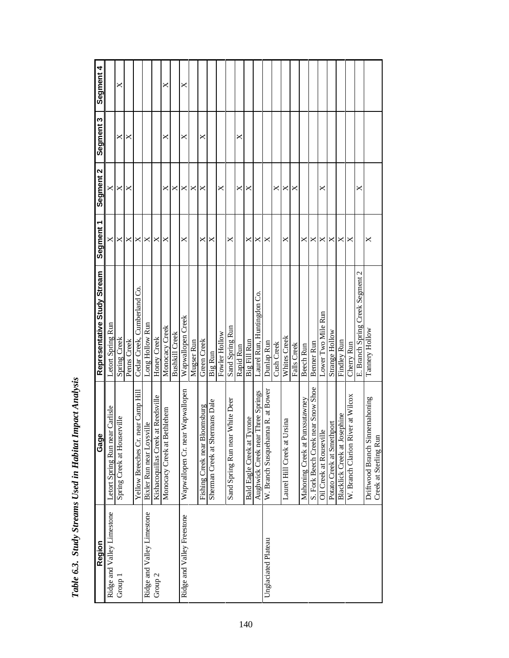| Region                     | Gage                                                    | Representative Study Stream      | Segment 1 | Segment 2 | Segment 3 | Segment 4 |
|----------------------------|---------------------------------------------------------|----------------------------------|-----------|-----------|-----------|-----------|
| Ridge and Valley Limestone | Letort Spring Run near Carlisle                         | Letort Spring Run                |           | ×         |           |           |
| Group 1                    | Spring Creek at Houserville                             | Spring Creek                     | ×         | ×         | ×         | ×         |
|                            |                                                         | Penns Creek                      | ×         | ×         | ×         |           |
|                            | Yellow Breeches Cr. near Camp Hill                      | Cedar Creek, Cumberland Co.      | ×         |           |           |           |
| Ridge and Valley Limestone | Bixler Run near Loysville                               | Long Hollow Run                  | ×         |           |           |           |
| Group <sub>2</sub>         | Kishacoquillas Creek at Reedsville                      | Honey Creek                      | ×         |           |           |           |
|                            | Monocacy Creek at Bethlehem                             | Monocacy Creek                   | ×         | ×         | ×         | ×         |
|                            |                                                         | <b>Bushkill Creek</b>            |           | ×         |           |           |
| Ridge and Valley Freestone | Wapwallopen<br>Wapwallopen Cr. near                     | Wapwallopen Creek                | ×         | ×         | ×         | ×         |
|                            |                                                         | Mugser Run                       |           | ×         |           |           |
|                            | Fishing Creek near Bloomsburg                           | Green Creek                      | ×         | ×         | ×         |           |
|                            | Sherman Creek at Shermans Dale                          | Big Run                          | ×         |           |           |           |
|                            |                                                         | Fowler Hollow                    |           | ×         |           |           |
|                            | White Deer<br>Sand Spring Run near                      | Sand Spring Run                  | ×         |           |           |           |
|                            |                                                         | Rapid Run                        |           | ×         | ×         |           |
|                            | Bald Eagle Creek at Tyrone                              | Big Fill Run                     | ×         | ×         |           |           |
|                            | Three Springs<br>Aughwick Creek near                    | Laurel Run, Huntingdon Co.       | ×         |           |           |           |
| Unglaciated Plateau        | na R. at Bower<br>W. Branch Susquehann                  | Dunlap Run                       | ×         |           |           |           |
|                            |                                                         | Cush Creek                       |           | ×         |           |           |
|                            | rsina<br>Laurel Hill Creek at U <sub>1</sub>            | Whites Creek                     | ×         | ×         |           |           |
|                            |                                                         | Falls Creek                      |           | ×         |           |           |
|                            | Mahoning Creek at Punxsutawney                          | Beech Run                        | ×         |           |           |           |
|                            | S. Fork Beech Creek near Snow Shoe                      | Benner Run                       | ×         |           |           |           |
|                            | Oil Creek at Rouseville                                 | Lower Two Mile Run               | ×         | ×         |           |           |
|                            | Potato Creek at Smethport                               | Strange Hollow                   | ×         |           |           |           |
|                            | Blacklick Creek at Josephine                            | Findley Run                      | ×         |           |           |           |
|                            | er at Wilcox<br>W. Branch Clarion Riv                   | Cherry Run                       | ×         |           |           |           |
|                            |                                                         | E. Branch Spring Creek Segment 2 |           | ×         |           |           |
|                            | Driftwood Branch Sinnemahoning<br>Creek at Sterling Run | Tannery Hollow                   | ×         |           |           |           |

| i                                                     |
|-------------------------------------------------------|
| ----<br>ĺ                                             |
| くりりょう<br>$^{\circ}$<br>$\mathbf{I}$                   |
| $\ddot{\phantom{0}}$<br>$\ddot{ }$                    |
|                                                       |
| The company of the company of<br>$\ddot{\phantom{0}}$ |
|                                                       |
| $\ddotsc$                                             |
| ₿                                                     |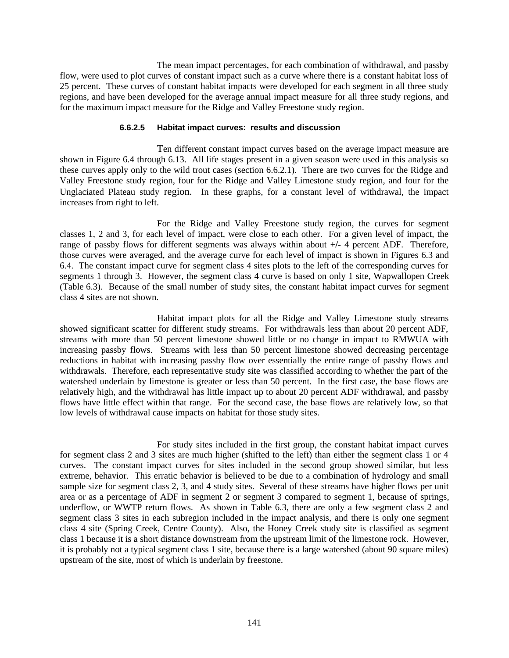The mean impact percentages, for each combination of withdrawal, and passby flow, were used to plot curves of constant impact such as a curve where there is a constant habitat loss of 25 percent. These curves of constant habitat impacts were developed for each segment in all three study regions, and have been developed for the average annual impact measure for all three study regions, and for the maximum impact measure for the Ridge and Valley Freestone study region.

#### **6.6.2.5 Habitat impact curves: results and discussion**

Ten different constant impact curves based on the average impact measure are shown in Figure 6.4 through 6.13. All life stages present in a given season were used in this analysis so these curves apply only to the wild trout cases (section 6.6.2.1). There are two curves for the Ridge and Valley Freestone study region, four for the Ridge and Valley Limestone study region, and four for the Unglaciated Plateau study region. In these graphs, for a constant level of withdrawal, the impact increases from right to left.

For the Ridge and Valley Freestone study region, the curves for segment classes 1, 2 and 3, for each level of impact, were close to each other. For a given level of impact, the range of passby flows for different segments was always within about **+/-** 4 percent ADF. Therefore, those curves were averaged, and the average curve for each level of impact is shown in Figures 6.3 and 6.4. The constant impact curve for segment class 4 sites plots to the left of the corresponding curves for segments 1 through 3. However, the segment class 4 curve is based on only 1 site, Wapwallopen Creek (Table 6.3). Because of the small number of study sites, the constant habitat impact curves for segment class 4 sites are not shown.

Habitat impact plots for all the Ridge and Valley Limestone study streams showed significant scatter for different study streams. For withdrawals less than about 20 percent ADF, streams with more than 50 percent limestone showed little or no change in impact to RMWUA with increasing passby flows. Streams with less than 50 percent limestone showed decreasing percentage reductions in habitat with increasing passby flow over essentially the entire range of passby flows and withdrawals. Therefore, each representative study site was classified according to whether the part of the watershed underlain by limestone is greater or less than 50 percent. In the first case, the base flows are relatively high, and the withdrawal has little impact up to about 20 percent ADF withdrawal, and passby flows have little effect within that range. For the second case, the base flows are relatively low, so that low levels of withdrawal cause impacts on habitat for those study sites.

For study sites included in the first group, the constant habitat impact curves for segment class 2 and 3 sites are much higher (shifted to the left) than either the segment class 1 or 4 curves. The constant impact curves for sites included in the second group showed similar, but less extreme, behavior. This erratic behavior is believed to be due to a combination of hydrology and small sample size for segment class 2, 3, and 4 study sites. Several of these streams have higher flows per unit area or as a percentage of ADF in segment 2 or segment 3 compared to segment 1, because of springs, underflow, or WWTP return flows. As shown in Table 6.3, there are only a few segment class 2 and segment class 3 sites in each subregion included in the impact analysis, and there is only one segment class 4 site (Spring Creek, Centre County). Also, the Honey Creek study site is classified as segment class 1 because it is a short distance downstream from the upstream limit of the limestone rock. However, it is probably not a typical segment class 1 site, because there is a large watershed (about 90 square miles) upstream of the site, most of which is underlain by freestone.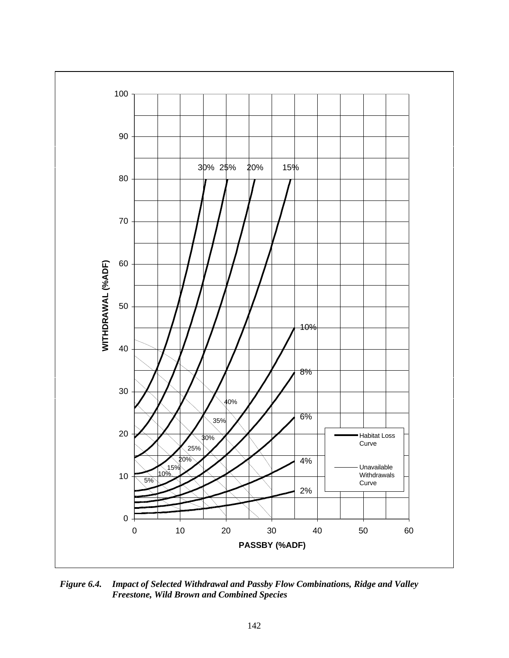

*Figure 6.4. Impact of Selected Withdrawal and Passby Flow Combinations, Ridge and Valley Freestone, Wild Brown and Combined Species*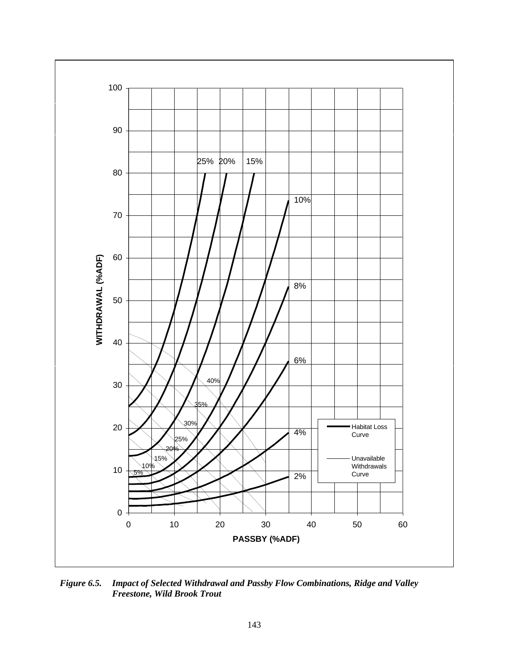

*Figure 6.5. Impact of Selected Withdrawal and Passby Flow Combinations, Ridge and Valley Freestone, Wild Brook Trout*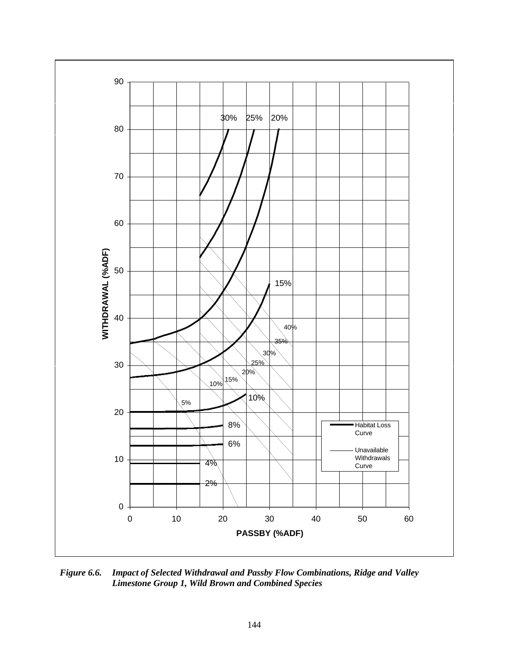

*Figure 6.6. Impact of Selected Withdrawal and Passby Flow Combinations, Ridge and Valley Limestone Group 1, Wild Brown and Combined Species*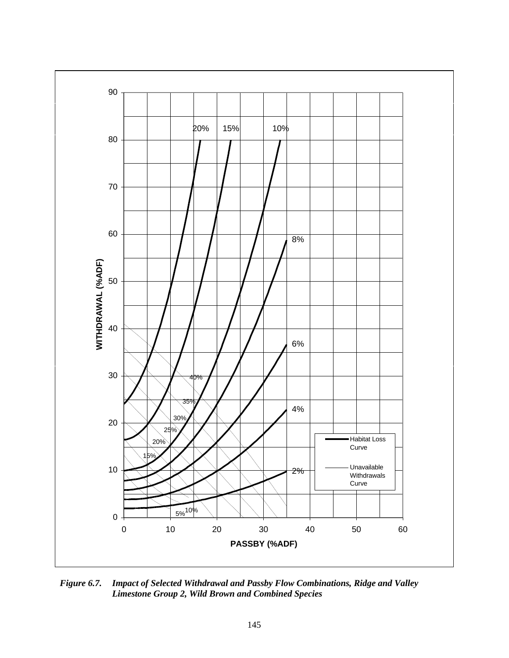

*Figure 6.7. Impact of Selected Withdrawal and Passby Flow Combinations, Ridge and Valley Limestone Group 2, Wild Brown and Combined Species*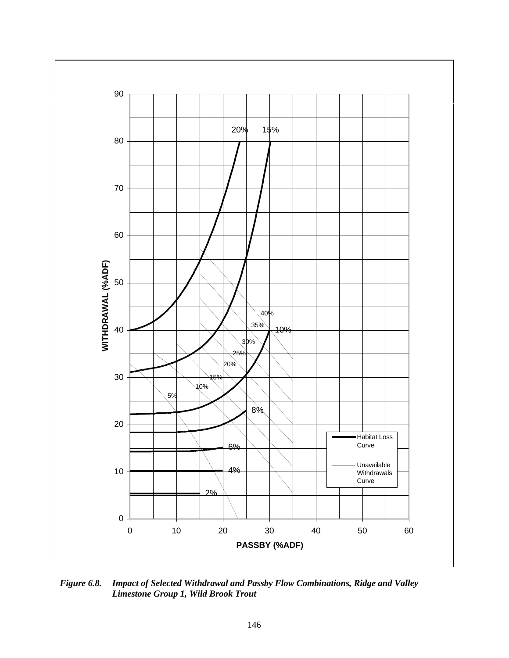

*Figure 6.8. Impact of Selected Withdrawal and Passby Flow Combinations, Ridge and Valley Limestone Group 1, Wild Brook Trout*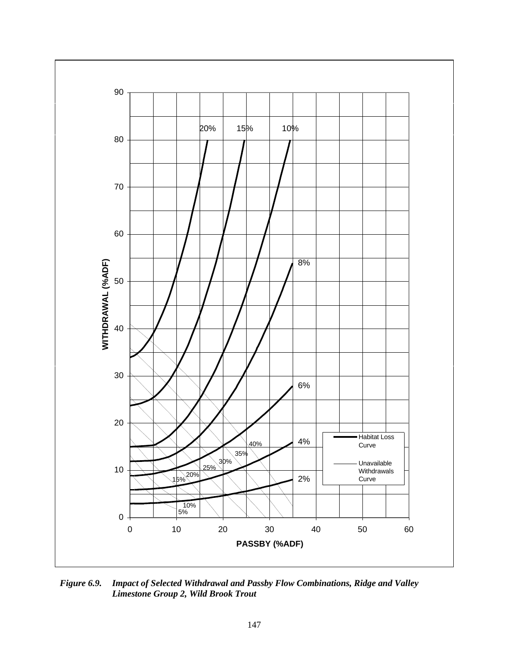

*Figure 6.9. Impact of Selected Withdrawal and Passby Flow Combinations, Ridge and Valley Limestone Group 2, Wild Brook Trout*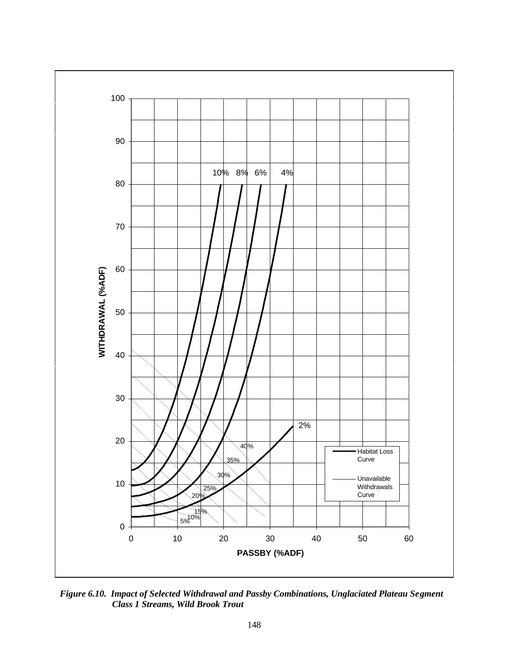

*Figure 6.10. Impact of Selected Withdrawal and Passby Combinations, Unglaciated Plateau Segment Class 1 Streams, Wild Brook Trout*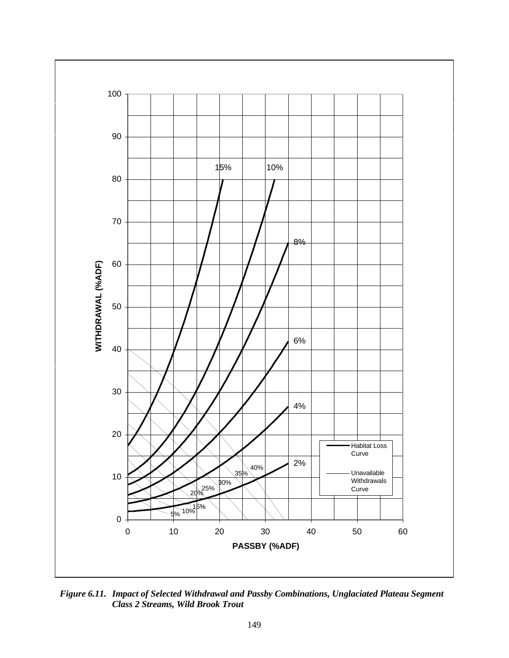

*Figure 6.11. Impact of Selected Withdrawal and Passby Combinations, Unglaciated Plateau Segment Class 2 Streams, Wild Brook Trout*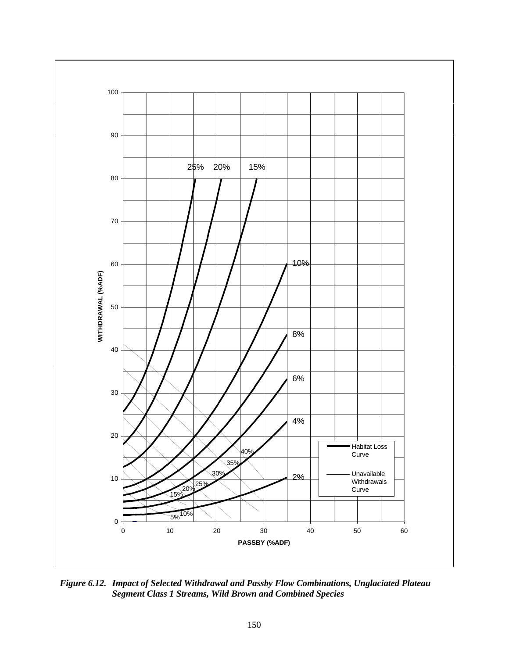

*Figure 6.12. Impact of Selected Withdrawal and Passby Flow Combinations, Unglaciated Plateau Segment Class 1 Streams, Wild Brown and Combined Species*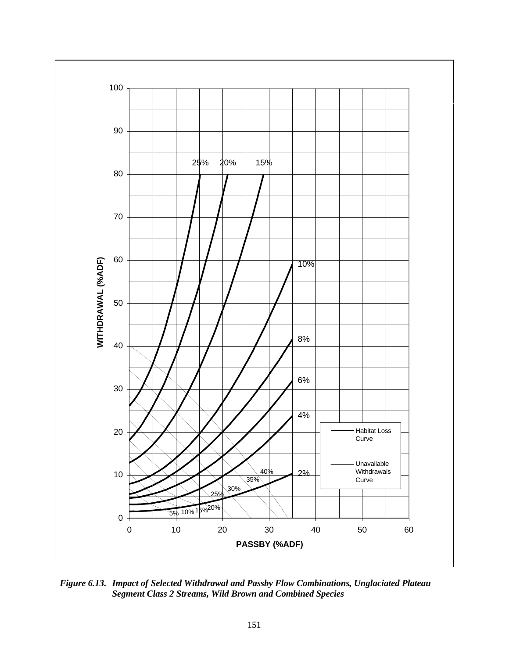

*Figure 6.13. Impact of Selected Withdrawal and Passby Flow Combinations, Unglaciated Plateau Segment Class 2 Streams, Wild Brown and Combined Species*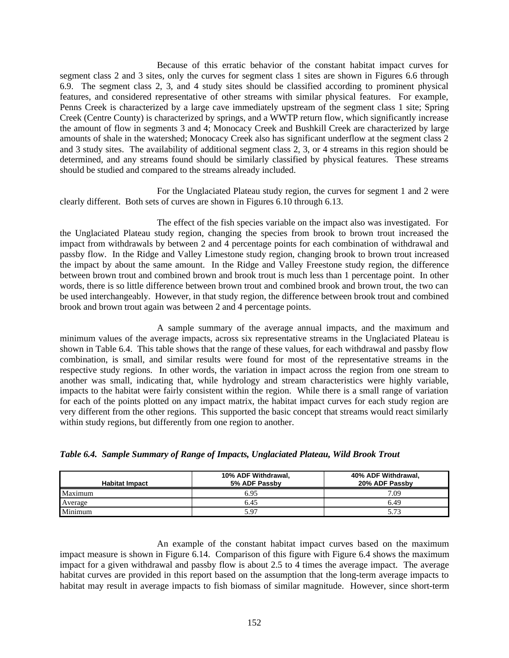Because of this erratic behavior of the constant habitat impact curves for segment class 2 and 3 sites, only the curves for segment class 1 sites are shown in Figures 6.6 through 6.9. The segment class 2, 3, and 4 study sites should be classified according to prominent physical features, and considered representative of other streams with similar physical features. For example, Penns Creek is characterized by a large cave immediately upstream of the segment class 1 site; Spring Creek (Centre County) is characterized by springs, and a WWTP return flow, which significantly increase the amount of flow in segments 3 and 4; Monocacy Creek and Bushkill Creek are characterized by large amounts of shale in the watershed; Monocacy Creek also has significant underflow at the segment class 2 and 3 study sites. The availability of additional segment class 2, 3, or 4 streams in this region should be determined, and any streams found should be similarly classified by physical features. These streams should be studied and compared to the streams already included.

For the Unglaciated Plateau study region, the curves for segment 1 and 2 were clearly different. Both sets of curves are shown in Figures 6.10 through 6.13.

The effect of the fish species variable on the impact also was investigated. For the Unglaciated Plateau study region, changing the species from brook to brown trout increased the impact from withdrawals by between 2 and 4 percentage points for each combination of withdrawal and passby flow. In the Ridge and Valley Limestone study region, changing brook to brown trout increased the impact by about the same amount. In the Ridge and Valley Freestone study region, the difference between brown trout and combined brown and brook trout is much less than 1 percentage point. In other words, there is so little difference between brown trout and combined brook and brown trout, the two can be used interchangeably. However, in that study region, the difference between brook trout and combined brook and brown trout again was between 2 and 4 percentage points.

A sample summary of the average annual impacts, and the maximum and minimum values of the average impacts, across six representative streams in the Unglaciated Plateau is shown in Table 6.4. This table shows that the range of these values, for each withdrawal and passby flow combination, is small, and similar results were found for most of the representative streams in the respective study regions. In other words, the variation in impact across the region from one stream to another was small, indicating that, while hydrology and stream characteristics were highly variable, impacts to the habitat were fairly consistent within the region. While there is a small range of variation for each of the points plotted on any impact matrix, the habitat impact curves for each study region are very different from the other regions. This supported the basic concept that streams would react similarly within study regions, but differently from one region to another.

*Table 6.4. Sample Summary of Range of Impacts, Unglaciated Plateau, Wild Brook Trout*

| <b>Habitat Impact</b> | 10% ADF Withdrawal,<br>5% ADF Passby | 40% ADF Withdrawal,<br>20% ADF Passby |
|-----------------------|--------------------------------------|---------------------------------------|
| Maximum               | 6.95                                 | 7.09                                  |
| Average               | 6.45                                 | 6.49                                  |
| Minimum               | 5.97                                 | 5.73                                  |

An example of the constant habitat impact curves based on the maximum impact measure is shown in Figure 6.14. Comparison of this figure with Figure 6.4 shows the maximum impact for a given withdrawal and passby flow is about 2.5 to 4 times the average impact. The average habitat curves are provided in this report based on the assumption that the long-term average impacts to habitat may result in average impacts to fish biomass of similar magnitude. However, since short-term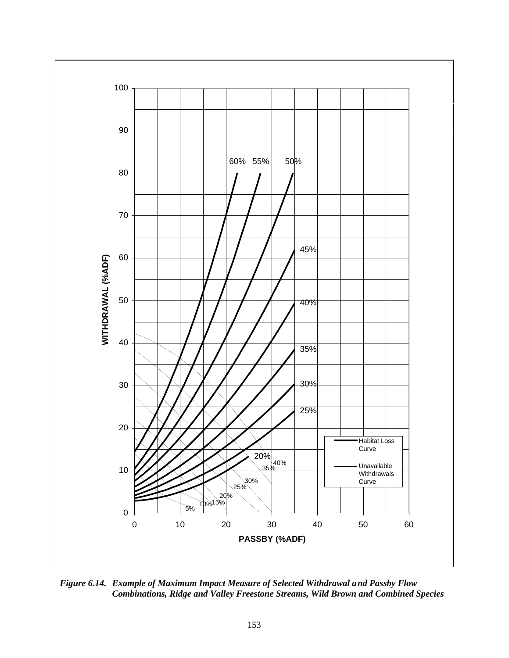

*Figure 6.14. Example of Maximum Impact Measure of Selected Withdrawal and Passby Flow Combinations, Ridge and Valley Freestone Streams, Wild Brown and Combined Species*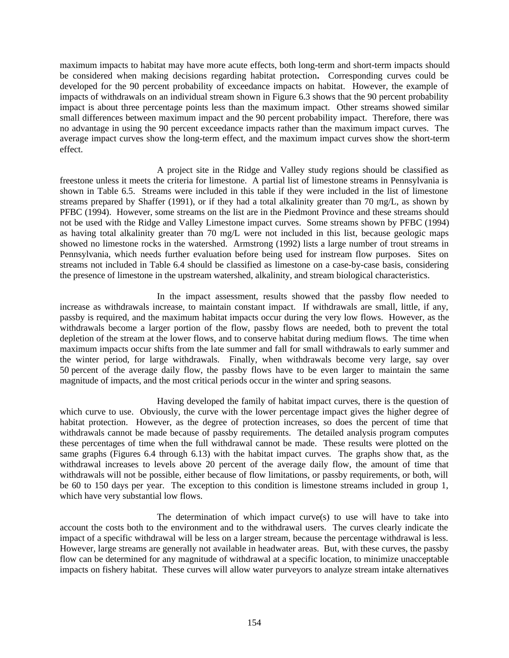maximum impacts to habitat may have more acute effects, both long-term and short-term impacts should be considered when making decisions regarding habitat protection**.** Corresponding curves could be developed for the 90 percent probability of exceedance impacts on habitat. However, the example of impacts of withdrawals on an individual stream shown in Figure 6.3 shows that the 90 percent probability impact is about three percentage points less than the maximum impact. Other streams showed similar small differences between maximum impact and the 90 percent probability impact. Therefore, there was no advantage in using the 90 percent exceedance impacts rather than the maximum impact curves. The average impact curves show the long-term effect, and the maximum impact curves show the short-term effect.

A project site in the Ridge and Valley study regions should be classified as freestone unless it meets the criteria for limestone. A partial list of limestone streams in Pennsylvania is shown in Table 6.5. Streams were included in this table if they were included in the list of limestone streams prepared by Shaffer (1991), or if they had a total alkalinity greater than 70 mg/L, as shown by PFBC (1994). However, some streams on the list are in the Piedmont Province and these streams should not be used with the Ridge and Valley Limestone impact curves. Some streams shown by PFBC (1994) as having total alkalinity greater than 70 mg/L were not included in this list, because geologic maps showed no limestone rocks in the watershed. Armstrong (1992) lists a large number of trout streams in Pennsylvania, which needs further evaluation before being used for instream flow purposes. Sites on streams not included in Table 6.4 should be classified as limestone on a case-by-case basis, considering the presence of limestone in the upstream watershed, alkalinity, and stream biological characteristics.

In the impact assessment, results showed that the passby flow needed to increase as withdrawals increase, to maintain constant impact. If withdrawals are small, little, if any, passby is required, and the maximum habitat impacts occur during the very low flows. However, as the withdrawals become a larger portion of the flow, passby flows are needed, both to prevent the total depletion of the stream at the lower flows, and to conserve habitat during medium flows. The time when maximum impacts occur shifts from the late summer and fall for small withdrawals to early summer and the winter period, for large withdrawals. Finally, when withdrawals become very large, say over 50 percent of the average daily flow, the passby flows have to be even larger to maintain the same magnitude of impacts, and the most critical periods occur in the winter and spring seasons.

Having developed the family of habitat impact curves, there is the question of which curve to use. Obviously, the curve with the lower percentage impact gives the higher degree of habitat protection. However, as the degree of protection increases, so does the percent of time that withdrawals cannot be made because of passby requirements. The detailed analysis program computes these percentages of time when the full withdrawal cannot be made. These results were plotted on the same graphs (Figures 6.4 through 6.13) with the habitat impact curves. The graphs show that, as the withdrawal increases to levels above 20 percent of the average daily flow, the amount of time that withdrawals will not be possible, either because of flow limitations, or passby requirements, or both, will be 60 to 150 days per year. The exception to this condition is limestone streams included in group 1, which have very substantial low flows.

The determination of which impact curve(s) to use will have to take into account the costs both to the environment and to the withdrawal users. The curves clearly indicate the impact of a specific withdrawal will be less on a larger stream, because the percentage withdrawal is less. However, large streams are generally not available in headwater areas. But, with these curves, the passby flow can be determined for any magnitude of withdrawal at a specific location, to minimize unacceptable impacts on fishery habitat. These curves will allow water purveyors to analyze stream intake alternatives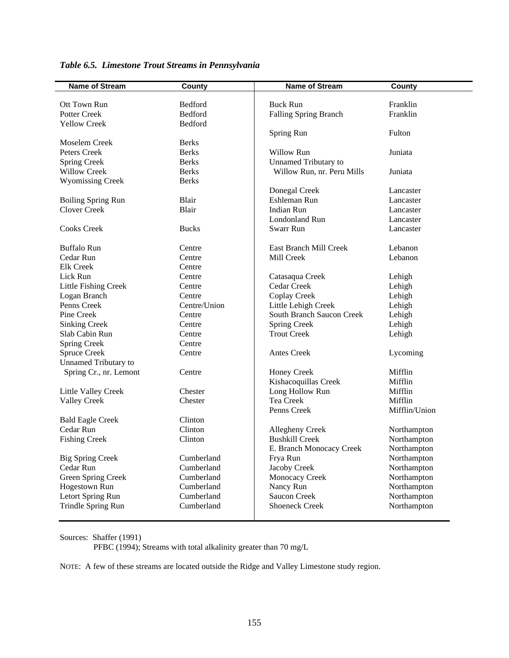| <b>Name of Stream</b>                   | <b>County</b>            | <b>Name of Stream</b>       | <b>County</b>              |
|-----------------------------------------|--------------------------|-----------------------------|----------------------------|
|                                         |                          |                             |                            |
| Ott Town Run                            | Bedford                  | <b>Buck Run</b>             | Franklin                   |
| <b>Potter Creek</b>                     | Bedford                  | Falling Spring Branch       | Franklin                   |
| <b>Yellow Creek</b>                     | Bedford                  |                             |                            |
|                                         |                          | Spring Run                  | Fulton                     |
| Moselem Creek                           | <b>Berks</b>             |                             |                            |
| Peters Creek                            | <b>Berks</b>             | Willow Run                  | Juniata                    |
| <b>Spring Creek</b>                     | <b>Berks</b>             | <b>Unnamed Tributary to</b> |                            |
| <b>Willow Creek</b>                     | <b>Berks</b>             | Willow Run, nr. Peru Mills  | Juniata                    |
| <b>Wyomissing Creek</b>                 | <b>Berks</b>             |                             |                            |
|                                         |                          | Donegal Creek               | Lancaster                  |
| <b>Boiling Spring Run</b>               | Blair                    | Eshleman Run                | Lancaster                  |
| <b>Clover Creek</b>                     | Blair                    | Indian Run                  | Lancaster                  |
|                                         |                          | <b>Londonland Run</b>       | Lancaster                  |
| <b>Cooks Creek</b>                      | <b>Bucks</b>             | <b>Swarr Run</b>            | Lancaster                  |
| <b>Buffalo Run</b>                      | Centre                   | East Branch Mill Creek      | Lebanon                    |
| Cedar Run                               | Centre                   | Mill Creek                  | Lebanon                    |
| Elk Creek                               | Centre                   |                             |                            |
| Lick Run                                | Centre                   | Catasaqua Creek             | Lehigh                     |
| Little Fishing Creek                    | Centre                   | Cedar Creek                 | Lehigh                     |
| Logan Branch                            | Centre                   | Coplay Creek                | Lehigh                     |
| Penns Creek                             | Centre/Union             | Little Lehigh Creek         | Lehigh                     |
| Pine Creek                              | Centre                   | South Branch Saucon Creek   | Lehigh                     |
| <b>Sinking Creek</b>                    | Centre                   | Spring Creek                | Lehigh                     |
| Slab Cabin Run                          | Centre                   | <b>Trout Creek</b>          | Lehigh                     |
| <b>Spring Creek</b>                     | Centre                   |                             |                            |
| <b>Spruce Creek</b>                     | Centre                   | Antes Creek                 | Lycoming                   |
| <b>Unnamed Tributary to</b>             |                          |                             |                            |
| Spring Cr., nr. Lemont                  | Centre                   | <b>Honey Creek</b>          | Mifflin                    |
|                                         |                          | Kishacoquillas Creek        | Mifflin                    |
| Little Valley Creek                     | Chester                  | Long Hollow Run             | Mifflin                    |
| <b>Valley Creek</b>                     | Chester                  | Tea Creek                   | Mifflin                    |
|                                         |                          | Penns Creek                 | Mifflin/Union              |
| <b>Bald Eagle Creek</b>                 | Clinton                  |                             |                            |
| Cedar Run                               | Clinton                  | Allegheny Creek             | Northampton                |
| <b>Fishing Creek</b>                    | Clinton                  | <b>Bushkill Creek</b>       | Northampton                |
|                                         |                          | E. Branch Monocacy Creek    | Northampton                |
| <b>Big Spring Creek</b>                 | Cumberland               | Frya Run                    | Northampton                |
| Cedar Run                               | Cumberland               | Jacoby Creek                | Northampton                |
| Green Spring Creek                      | Cumberland               | Monocacy Creek              | Northampton                |
| <b>Hogestown Run</b>                    | Cumberland<br>Cumberland | Nancy Run<br>Saucon Creek   | Northampton<br>Northampton |
| Letort Spring Run<br>Trindle Spring Run | Cumberland               | <b>Shoeneck Creek</b>       | Northampton                |
|                                         |                          |                             |                            |

*Table 6.5. Limestone Trout Streams in Pennsylvania*

Sources: Shaffer (1991)

PFBC (1994); Streams with total alkalinity greater than 70 mg/L

NOTE: A few of these streams are located outside the Ridge and Valley Limestone study region.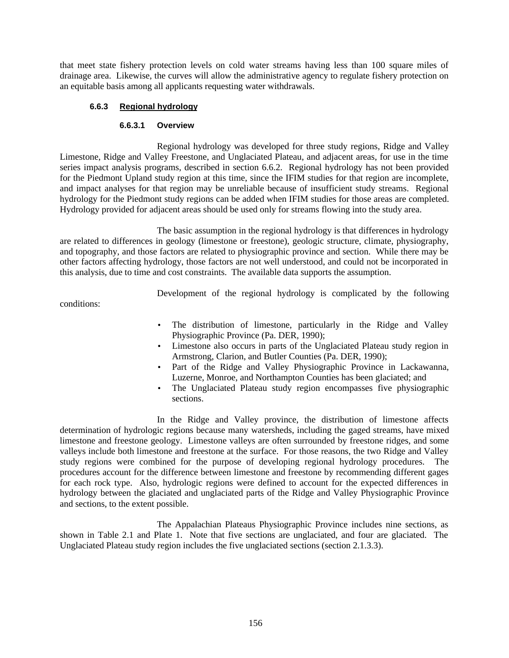that meet state fishery protection levels on cold water streams having less than 100 square miles of drainage area. Likewise, the curves will allow the administrative agency to regulate fishery protection on an equitable basis among all applicants requesting water withdrawals.

# **6.6.3 Regional hydrology**

## **6.6.3.1 Overview**

Regional hydrology was developed for three study regions, Ridge and Valley Limestone, Ridge and Valley Freestone, and Unglaciated Plateau, and adjacent areas, for use in the time series impact analysis programs, described in section 6.6.2. Regional hydrology has not been provided for the Piedmont Upland study region at this time, since the IFIM studies for that region are incomplete, and impact analyses for that region may be unreliable because of insufficient study streams. Regional hydrology for the Piedmont study regions can be added when IFIM studies for those areas are completed. Hydrology provided for adjacent areas should be used only for streams flowing into the study area.

The basic assumption in the regional hydrology is that differences in hydrology are related to differences in geology (limestone or freestone), geologic structure, climate, physiography, and topography, and those factors are related to physiographic province and section. While there may be other factors affecting hydrology, those factors are not well understood, and could not be incorporated in this analysis, due to time and cost constraints. The available data supports the assumption.

Development of the regional hydrology is complicated by the following

conditions:

- The distribution of limestone, particularly in the Ridge and Valley Physiographic Province (Pa. DER, 1990);
- Limestone also occurs in parts of the Unglaciated Plateau study region in Armstrong, Clarion, and Butler Counties (Pa. DER, 1990);
- Part of the Ridge and Valley Physiographic Province in Lackawanna, Luzerne, Monroe, and Northampton Counties has been glaciated; and
- The Unglaciated Plateau study region encompasses five physiographic sections.

In the Ridge and Valley province, the distribution of limestone affects determination of hydrologic regions because many watersheds, including the gaged streams, have mixed limestone and freestone geology. Limestone valleys are often surrounded by freestone ridges, and some valleys include both limestone and freestone at the surface. For those reasons, the two Ridge and Valley study regions were combined for the purpose of developing regional hydrology procedures. The procedures account for the difference between limestone and freestone by recommending different gages for each rock type. Also, hydrologic regions were defined to account for the expected differences in hydrology between the glaciated and unglaciated parts of the Ridge and Valley Physiographic Province and sections, to the extent possible.

The Appalachian Plateaus Physiographic Province includes nine sections, as shown in Table 2.1 and Plate 1. Note that five sections are unglaciated, and four are glaciated. The Unglaciated Plateau study region includes the five unglaciated sections (section 2.1.3.3).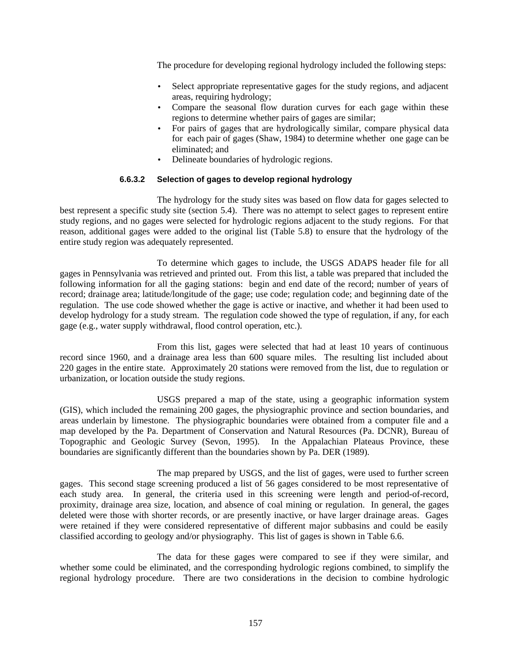The procedure for developing regional hydrology included the following steps:

- Select appropriate representative gages for the study regions, and adjacent areas, requiring hydrology;
- Compare the seasonal flow duration curves for each gage within these regions to determine whether pairs of gages are similar;
- For pairs of gages that are hydrologically similar, compare physical data for each pair of gages (Shaw, 1984) to determine whether one gage can be eliminated; and
- Delineate boundaries of hydrologic regions.

# **6.6.3.2 Selection of gages to develop regional hydrology**

The hydrology for the study sites was based on flow data for gages selected to best represent a specific study site (section 5.4). There was no attempt to select gages to represent entire study regions, and no gages were selected for hydrologic regions adjacent to the study regions. For that reason, additional gages were added to the original list (Table 5.8) to ensure that the hydrology of the entire study region was adequately represented.

To determine which gages to include, the USGS ADAPS header file for all gages in Pennsylvania was retrieved and printed out. From this list, a table was prepared that included the following information for all the gaging stations: begin and end date of the record; number of years of record; drainage area; latitude/longitude of the gage; use code; regulation code; and beginning date of the regulation. The use code showed whether the gage is active or inactive, and whether it had been used to develop hydrology for a study stream. The regulation code showed the type of regulation, if any, for each gage (e.g., water supply withdrawal, flood control operation, etc.).

From this list, gages were selected that had at least 10 years of continuous record since 1960, and a drainage area less than 600 square miles. The resulting list included about 220 gages in the entire state. Approximately 20 stations were removed from the list, due to regulation or urbanization, or location outside the study regions.

USGS prepared a map of the state, using a geographic information system (GIS), which included the remaining 200 gages, the physiographic province and section boundaries, and areas underlain by limestone. The physiographic boundaries were obtained from a computer file and a map developed by the Pa. Department of Conservation and Natural Resources (Pa. DCNR), Bureau of Topographic and Geologic Survey (Sevon, 1995). In the Appalachian Plateaus Province, these boundaries are significantly different than the boundaries shown by Pa. DER (1989).

The map prepared by USGS, and the list of gages, were used to further screen gages. This second stage screening produced a list of 56 gages considered to be most representative of each study area. In general, the criteria used in this screening were length and period-of-record, proximity, drainage area size, location, and absence of coal mining or regulation. In general, the gages deleted were those with shorter records, or are presently inactive, or have larger drainage areas. Gages were retained if they were considered representative of different major subbasins and could be easily classified according to geology and/or physiography. This list of gages is shown in Table 6.6.

The data for these gages were compared to see if they were similar, and whether some could be eliminated, and the corresponding hydrologic regions combined, to simplify the regional hydrology procedure. There are two considerations in the decision to combine hydrologic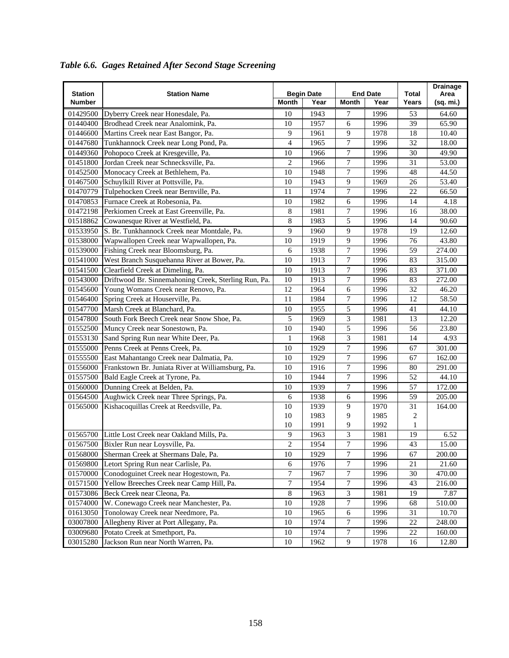|                |                                                      |                |                   |                  |                 |       | <b>Drainage</b> |
|----------------|------------------------------------------------------|----------------|-------------------|------------------|-----------------|-------|-----------------|
| <b>Station</b> | <b>Station Name</b>                                  |                | <b>Begin Date</b> |                  | <b>End Date</b> | Total | Area            |
| Number         |                                                      | Month          | Year              | Month            | Year            | Years | (sq. mi.)       |
| 01429500       | Dyberry Creek near Honesdale, Pa.                    | 10             | 1943              | 7                | 1996            | 53    | 64.60           |
| 01440400       | Brodhead Creek near Analomink, Pa.                   | 10             | 1957              | 6                | 1996            | 39    | 65.90           |
| 01446600       | Martins Creek near East Bangor, Pa.                  | 9              | 1961              | 9                | 1978            | 18    | 10.40           |
| 01447680       | Tunkhannock Creek near Long Pond, Pa.                | $\overline{4}$ | 1965              | 7                | 1996            | 32    | 18.00           |
| 01449360       | Pohopoco Creek at Kresgeville, Pa.                   | 10             | 1966              | $\boldsymbol{7}$ | 1996            | 30    | 49.90           |
| 01451800       | Jordan Creek near Schnecksville, Pa.                 | 2              | 1966              | 7                | 1996            | 31    | 53.00           |
| 01452500       | Monocacy Creek at Bethlehem, Pa.                     | 10             | 1948              | $\boldsymbol{7}$ | 1996            | 48    | 44.50           |
| 01467500       | Schuylkill River at Pottsville, Pa.                  | 10             | 1943              | 9                | 1969            | 26    | 53.40           |
| 01470779       | Tulpehocken Creek near Bernville, Pa.                | 11             | 1974              | 7                | 1996            | 22    | 66.50           |
| 01470853       | Furnace Creek at Robesonia, Pa.                      | 10             | 1982              | 6                | 1996            | 14    | 4.18            |
| 01472198       | Perkiomen Creek at East Greenville, Pa.              | 8              | 1981              | 7                | 1996            | 16    | 38.00           |
| 01518862       | Cowanesque River at Westfield, Pa.                   | 8              | 1983              | 5                | 1996            | 14    | 90.60           |
| 01533950       | S. Br. Tunkhannock Creek near Montdale, Pa.          | 9              | 1960              | 9                | 1978            | 19    | 12.60           |
| 01538000       | Wapwallopen Creek near Wapwallopen, Pa.              | 10             | 1919              | 9                | 1996            | 76    | 43.80           |
| 01539000       | Fishing Creek near Bloomsburg, Pa.                   | 6              | 1938              | 7                | 1996            | 59    | 274.00          |
| 01541000       | West Branch Susquehanna River at Bower, Pa.          | 10             | 1913              | 7                | 1996            | 83    | 315.00          |
| 01541500       | Clearfield Creek at Dimeling, Pa.                    | 10             | 1913              | 7                | 1996            | 83    | 371.00          |
| 01543000       | Driftwood Br. Sinnemahoning Creek, Sterling Run, Pa. | 10             | 1913              | 7                | 1996            | 83    | 272.00          |
| 01545600       | Young Womans Creek near Renovo, Pa.                  | 12             | 1964              | 6                | 1996            | 32    | 46.20           |
| 01546400       | Spring Creek at Houserville, Pa.                     | 11             | 1984              | 7                | 1996            | 12    | 58.50           |
| 01547700       | Marsh Creek at Blanchard, Pa.                        | 10             | 1955              | 5                | 1996            | 41    | 44.10           |
| 01547800       | South Fork Beech Creek near Snow Shoe, Pa.           | 5              | 1969              | 3                | 1981            | 13    | 12.20           |
| 01552500       | Muncy Creek near Sonestown, Pa.                      | 10             | 1940              | 5                | 1996            | 56    | 23.80           |
| 01553130       | Sand Spring Run near White Deer, Pa.                 | 1              | 1968              | 3                | 1981            | 14    | 4.93            |
| 01555000       | Penns Creek at Penns Creek, Pa.                      | 10             | 1929              | $\boldsymbol{7}$ | 1996            | 67    | 301.00          |
| 01555500       | East Mahantango Creek near Dalmatia, Pa.             | 10             | 1929              | $\overline{7}$   | 1996            | 67    | 162.00          |
| 01556000       | Frankstown Br. Juniata River at Williamsburg, Pa.    | 10             | 1916              | $\boldsymbol{7}$ | 1996            | 80    | 291.00          |
| 01557500       | Bald Eagle Creek at Tyrone, Pa.                      | 10             | 1944              | 7                | 1996            | 52    | 44.10           |
| 01560000       | Dunning Creek at Belden, Pa.                         | 10             | 1939              | 7                | 1996            | 57    | 172.00          |
| 01564500       | Aughwick Creek near Three Springs, Pa.               | 6              | 1938              | 6                | 1996            | 59    | 205.00          |
| 01565000       | Kishacoquillas Creek at Reedsville, Pa.              | 10             | 1939              | 9                | 1970            | 31    | 164.00          |
|                |                                                      | 10             | 1983              | 9                | 1985            | 2     |                 |
|                |                                                      | 10             | 1991              | 9                | 1992            | 1     |                 |
| 01565700       | Little Lost Creek near Oakland Mills, Pa.            | 9              | 1963              | 3                | 1981            | 19    | 6.52            |
| 01567500       | Bixler Run near Loysville, Pa.                       | $\overline{c}$ | 1954              | 7                | 1996            | 43    | 15.00           |
| 01568000       | Sherman Creek at Shermans Dale, Pa.                  | $10\,$         | 1929              | 7                | 1996            | 67    | 200.00          |
| 01569800       | Letort Spring Run near Carlisle, Pa.                 | 6              | 1976              | $\overline{7}$   | 1996            | 21    | 21.60           |
| 01570000       | Conodoguinet Creek near Hogestown, Pa.               | 7              | 1967              | 7                | 1996            | 30    | 470.00          |
| 01571500       | Yellow Breeches Creek near Camp Hill, Pa.            | 7              | 1954              | 7                | 1996            | 43    | 216.00          |
| 01573086       | Beck Creek near Cleona, Pa.                          | 8              | 1963              | 3                | 1981            | 19    | 7.87            |
| 01574000       | W. Conewago Creek near Manchester, Pa.               | 10             | 1928              | $\overline{7}$   | 1996            | 68    | 510.00          |
| 01613050       | Tonoloway Creek near Needmore, Pa.                   | 10             | 1965              | 6                | 1996            | 31    | 10.70           |
| 03007800       | Allegheny River at Port Allegany, Pa.                | 10             | 1974              | $\overline{7}$   | 1996            | 22    | 248.00          |
| 03009680       | Potato Creek at Smethport, Pa.                       | 10             | 1974              | $\overline{7}$   | 1996            | 22    | 160.00          |
| 03015280       | Jackson Run near North Warren, Pa.                   | 10             | 1962              | 9                | 1978            | 16    | 12.80           |

*Table 6.6. Gages Retained After Second Stage Screening*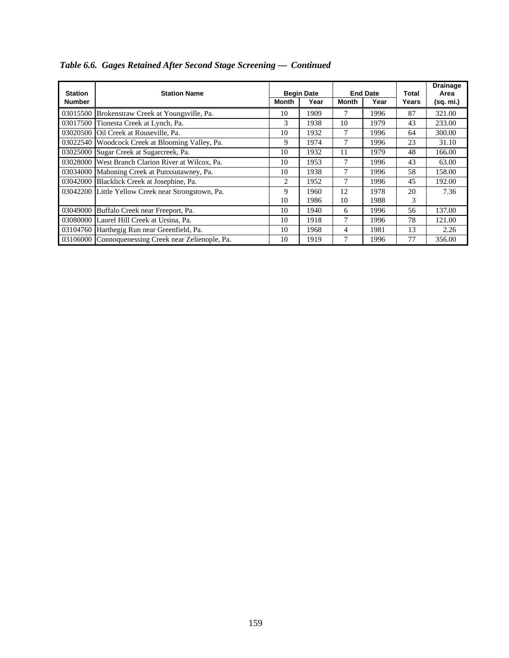| <b>Station</b><br><b>Number</b> | <b>Station Name</b>                                 | Month | <b>Begin Date</b><br>Year | <b>Month</b> | <b>End Date</b><br>Year | Total<br>Years | <b>Drainage</b><br>Area<br>(sq. mi.) |
|---------------------------------|-----------------------------------------------------|-------|---------------------------|--------------|-------------------------|----------------|--------------------------------------|
| 03015500                        | Brokenstraw Creek at Youngsville, Pa.               | 10    | 1909                      | 7            | 1996                    | 87             | 321.00                               |
| 03017500                        | Tionesta Creek at Lynch, Pa.                        | 3     | 1938                      | 10           | 1979                    | 43             | 233.00                               |
| 03020500                        | Oil Creek at Rouseville, Pa.                        | 10    | 1932                      | 7            | 1996                    | 64             | 300.00                               |
| 03022540                        | Woodcock Creek at Blooming Valley, Pa.              | 9     | 1974                      | 7            | 1996                    | 23             | 31.10                                |
| 03025000                        | Sugar Creek at Sugarcreek, Pa.                      | 10    | 1932                      | 11           | 1979                    | 48             | 166.00                               |
| 03028000                        | West Branch Clarion River at Wilcox, Pa.            | 10    | 1953                      | 7            | 1996                    | 43             | 63.00                                |
| 03034000                        | Mahoning Creek at Punxsutawney, Pa.                 | 10    | 1938                      | 7            | 1996                    | 58             | 158.00                               |
| 03042000                        | Blacklick Creek at Josephine, Pa.                   | 2     | 1952                      | 7            | 1996                    | 45             | 192.00                               |
| 03042200                        | Little Yellow Creek near Strongstown, Pa.           | 9     | 1960                      | 12           | 1978                    | 20             | 7.36                                 |
|                                 |                                                     | 10    | 1986                      | 10           | 1988                    | 3              |                                      |
| 03049000                        | Buffalo Creek near Freeport, Pa.                    | 10    | 1940                      | 6            | 1996                    | 56             | 137.00                               |
| 03080000                        | Laurel Hill Creek at Ursina, Pa.                    | 10    | 1918                      | 7            | 1996                    | 78             | 121.00                               |
| 03104760                        | Harthegig Run near Greenfield, Pa.                  | 10    | 1968                      | 4            | 1981                    | 13             | 2.26                                 |
|                                 | 03106000 Connoquenessing Creek near Zelienople, Pa. | 10    | 1919                      | 7            | 1996                    | 77             | 356.00                               |

# *Table 6.6. Gages Retained After Second Stage Screening — Continued*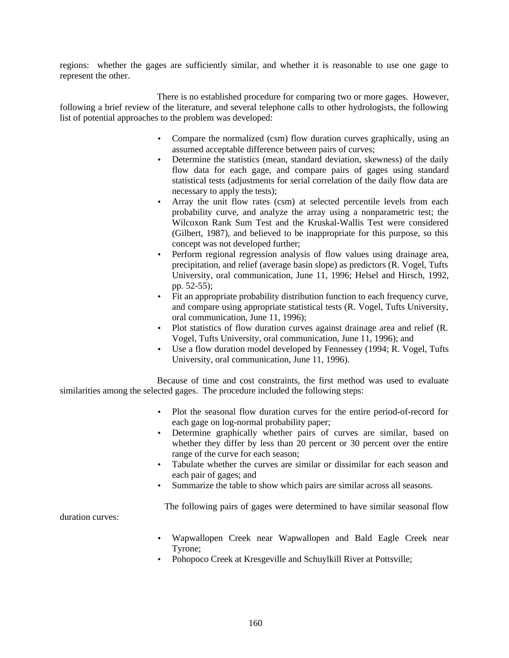regions: whether the gages are sufficiently similar, and whether it is reasonable to use one gage to represent the other.

There is no established procedure for comparing two or more gages. However, following a brief review of the literature, and several telephone calls to other hydrologists, the following list of potential approaches to the problem was developed:

- Compare the normalized (csm) flow duration curves graphically, using an assumed acceptable difference between pairs of curves;
- Determine the statistics (mean, standard deviation, skewness) of the daily flow data for each gage, and compare pairs of gages using standard statistical tests (adjustments for serial correlation of the daily flow data are necessary to apply the tests);
- Array the unit flow rates (csm) at selected percentile levels from each probability curve, and analyze the array using a nonparametric test; the Wilcoxon Rank Sum Test and the Kruskal-Wallis Test were considered (Gilbert, 1987), and believed to be inappropriate for this purpose, so this concept was not developed further;
- Perform regional regression analysis of flow values using drainage area, precipitation, and relief (average basin slope) as predictors (R. Vogel, Tufts University, oral communication, June 11, 1996; Helsel and Hirsch, 1992, pp. 52-55);
- Fit an appropriate probability distribution function to each frequency curve, and compare using appropriate statistical tests (R. Vogel, Tufts University, oral communication, June 11, 1996);
- Plot statistics of flow duration curves against drainage area and relief (R. Vogel, Tufts University, oral communication, June 11, 1996); and
- Use a flow duration model developed by Fennessey (1994; R. Vogel, Tufts University, oral communication, June 11, 1996).

Because of time and cost constraints, the first method was used to evaluate similarities among the selected gages. The procedure included the following steps:

- Plot the seasonal flow duration curves for the entire period-of-record for each gage on log-normal probability paper;
- Determine graphically whether pairs of curves are similar, based on whether they differ by less than 20 percent or 30 percent over the entire range of the curve for each season;
- Tabulate whether the curves are similar or dissimilar for each season and each pair of gages; and
- Summarize the table to show which pairs are similar across all seasons.

The following pairs of gages were determined to have similar seasonal flow

duration curves:

- Wapwallopen Creek near Wapwallopen and Bald Eagle Creek near Tyrone;
- Pohopoco Creek at Kresgeville and Schuylkill River at Pottsville;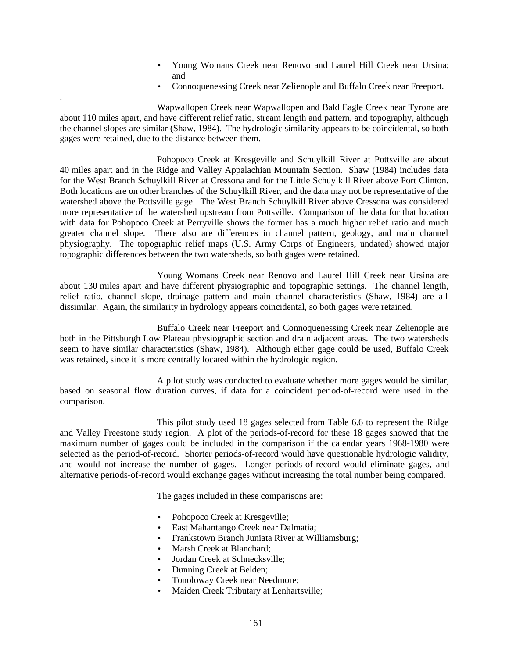- Young Womans Creek near Renovo and Laurel Hill Creek near Ursina; and
- Connoquenessing Creek near Zelienople and Buffalo Creek near Freeport.

Wapwallopen Creek near Wapwallopen and Bald Eagle Creek near Tyrone are about 110 miles apart, and have different relief ratio, stream length and pattern, and topography, although the channel slopes are similar (Shaw, 1984). The hydrologic similarity appears to be coincidental, so both gages were retained, due to the distance between them.

.

Pohopoco Creek at Kresgeville and Schuylkill River at Pottsville are about 40 miles apart and in the Ridge and Valley Appalachian Mountain Section. Shaw (1984) includes data for the West Branch Schuylkill River at Cressona and for the Little Schuylkill River above Port Clinton. Both locations are on other branches of the Schuylkill River, and the data may not be representative of the watershed above the Pottsville gage. The West Branch Schuylkill River above Cressona was considered more representative of the watershed upstream from Pottsville. Comparison of the data for that location with data for Pohopoco Creek at Perryville shows the former has a much higher relief ratio and much greater channel slope. There also are differences in channel pattern, geology, and main channel physiography. The topographic relief maps (U.S. Army Corps of Engineers, undated) showed major topographic differences between the two watersheds, so both gages were retained.

Young Womans Creek near Renovo and Laurel Hill Creek near Ursina are about 130 miles apart and have different physiographic and topographic settings. The channel length, relief ratio, channel slope, drainage pattern and main channel characteristics (Shaw, 1984) are all dissimilar. Again, the similarity in hydrology appears coincidental, so both gages were retained.

Buffalo Creek near Freeport and Connoquenessing Creek near Zelienople are both in the Pittsburgh Low Plateau physiographic section and drain adjacent areas. The two watersheds seem to have similar characteristics (Shaw, 1984). Although either gage could be used, Buffalo Creek was retained, since it is more centrally located within the hydrologic region.

A pilot study was conducted to evaluate whether more gages would be similar, based on seasonal flow duration curves, if data for a coincident period-of-record were used in the comparison.

This pilot study used 18 gages selected from Table 6.6 to represent the Ridge and Valley Freestone study region. A plot of the periods-of-record for these 18 gages showed that the maximum number of gages could be included in the comparison if the calendar years 1968-1980 were selected as the period-of-record. Shorter periods-of-record would have questionable hydrologic validity, and would not increase the number of gages. Longer periods-of-record would eliminate gages, and alternative periods-of-record would exchange gages without increasing the total number being compared.

The gages included in these comparisons are:

- Pohopoco Creek at Kresgeville;
- East Mahantango Creek near Dalmatia;
- Frankstown Branch Juniata River at Williamsburg;
- Marsh Creek at Blanchard:
- Jordan Creek at Schnecksville:
- Dunning Creek at Belden;
- Tonoloway Creek near Needmore;
- Maiden Creek Tributary at Lenhartsville;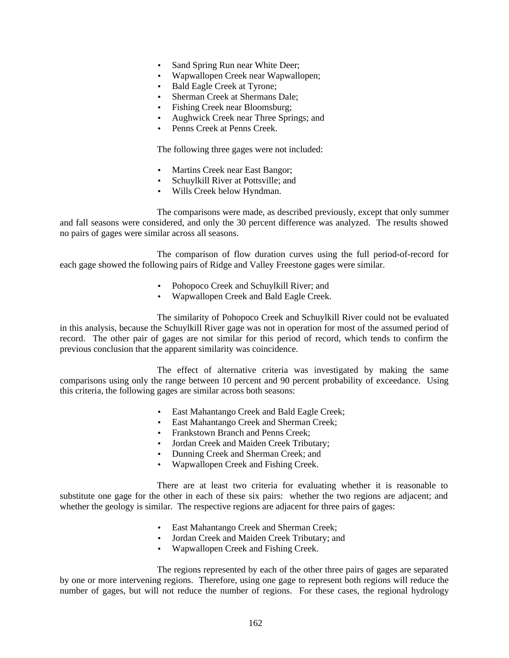- Sand Spring Run near White Deer;
- Wapwallopen Creek near Wapwallopen;
- Bald Eagle Creek at Tyrone;
- Sherman Creek at Shermans Dale;
- Fishing Creek near Bloomsburg;
- Aughwick Creek near Three Springs; and
- Penns Creek at Penns Creek.

The following three gages were not included:

- Martins Creek near East Bangor;
- Schuylkill River at Pottsville; and
- Wills Creek below Hyndman.

The comparisons were made, as described previously, except that only summer and fall seasons were considered, and only the 30 percent difference was analyzed. The results showed no pairs of gages were similar across all seasons.

The comparison of flow duration curves using the full period-of-record for each gage showed the following pairs of Ridge and Valley Freestone gages were similar.

- Pohopoco Creek and Schuylkill River; and
- Wapwallopen Creek and Bald Eagle Creek.

The similarity of Pohopoco Creek and Schuylkill River could not be evaluated in this analysis, because the Schuylkill River gage was not in operation for most of the assumed period of record. The other pair of gages are not similar for this period of record, which tends to confirm the previous conclusion that the apparent similarity was coincidence.

The effect of alternative criteria was investigated by making the same comparisons using only the range between 10 percent and 90 percent probability of exceedance. Using this criteria, the following gages are similar across both seasons:

- East Mahantango Creek and Bald Eagle Creek;
- East Mahantango Creek and Sherman Creek;
- Frankstown Branch and Penns Creek;
- Jordan Creek and Maiden Creek Tributary;
- Dunning Creek and Sherman Creek; and
- Wapwallopen Creek and Fishing Creek.

There are at least two criteria for evaluating whether it is reasonable to substitute one gage for the other in each of these six pairs: whether the two regions are adjacent; and whether the geology is similar. The respective regions are adjacent for three pairs of gages:

- East Mahantango Creek and Sherman Creek;
- Jordan Creek and Maiden Creek Tributary; and
- Wapwallopen Creek and Fishing Creek.

The regions represented by each of the other three pairs of gages are separated by one or more intervening regions. Therefore, using one gage to represent both regions will reduce the number of gages, but will not reduce the number of regions. For these cases, the regional hydrology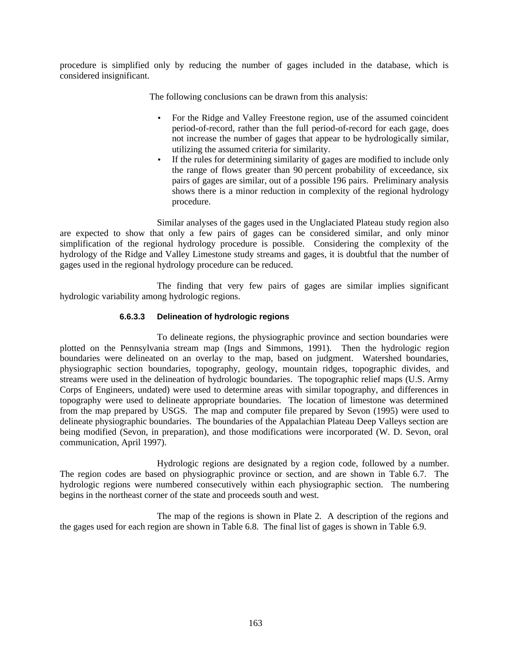procedure is simplified only by reducing the number of gages included in the database, which is considered insignificant.

The following conclusions can be drawn from this analysis:

- For the Ridge and Valley Freestone region, use of the assumed coincident period-of-record, rather than the full period-of-record for each gage, does not increase the number of gages that appear to be hydrologically similar, utilizing the assumed criteria for similarity.
- If the rules for determining similarity of gages are modified to include only the range of flows greater than 90 percent probability of exceedance, six pairs of gages are similar, out of a possible 196 pairs. Preliminary analysis shows there is a minor reduction in complexity of the regional hydrology procedure.

Similar analyses of the gages used in the Unglaciated Plateau study region also are expected to show that only a few pairs of gages can be considered similar, and only minor simplification of the regional hydrology procedure is possible. Considering the complexity of the hydrology of the Ridge and Valley Limestone study streams and gages, it is doubtful that the number of gages used in the regional hydrology procedure can be reduced.

The finding that very few pairs of gages are similar implies significant hydrologic variability among hydrologic regions.

## **6.6.3.3 Delineation of hydrologic regions**

To delineate regions, the physiographic province and section boundaries were plotted on the Pennsylvania stream map (Ings and Simmons, 1991). Then the hydrologic region boundaries were delineated on an overlay to the map, based on judgment. Watershed boundaries, physiographic section boundaries, topography, geology, mountain ridges, topographic divides, and streams were used in the delineation of hydrologic boundaries. The topographic relief maps (U.S. Army Corps of Engineers, undated) were used to determine areas with similar topography, and differences in topography were used to delineate appropriate boundaries. The location of limestone was determined from the map prepared by USGS. The map and computer file prepared by Sevon (1995) were used to delineate physiographic boundaries. The boundaries of the Appalachian Plateau Deep Valleys section are being modified (Sevon, in preparation), and those modifications were incorporated (W. D. Sevon, oral communication, April 1997).

Hydrologic regions are designated by a region code, followed by a number. The region codes are based on physiographic province or section, and are shown in Table 6.7. The hydrologic regions were numbered consecutively within each physiographic section. The numbering begins in the northeast corner of the state and proceeds south and west.

The map of the regions is shown in Plate 2. A description of the regions and the gages used for each region are shown in Table 6.8.The final list of gages is shown in Table 6.9.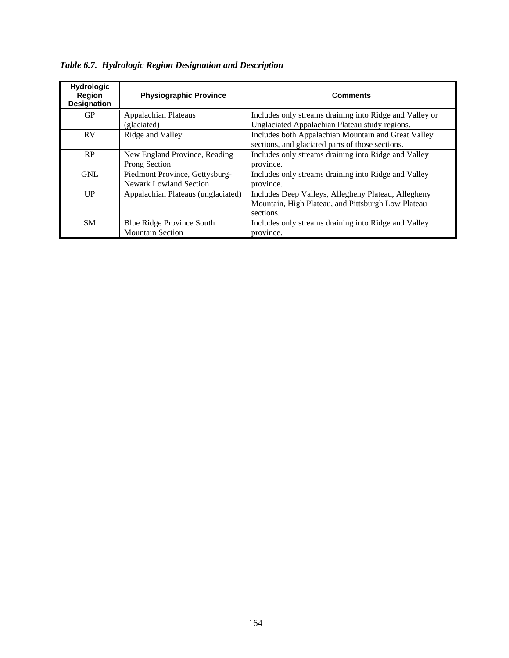| <b>Hydrologic</b><br>Region<br><b>Designation</b> | <b>Physiographic Province</b>      | <b>Comments</b>                                         |
|---------------------------------------------------|------------------------------------|---------------------------------------------------------|
| GP                                                | <b>Appalachian Plateaus</b>        | Includes only streams draining into Ridge and Valley or |
|                                                   | (glaciated)                        | Unglaciated Appalachian Plateau study regions.          |
| <b>RV</b>                                         | Ridge and Valley                   | Includes both Appalachian Mountain and Great Valley     |
|                                                   |                                    | sections, and glaciated parts of those sections.        |
| RP                                                | New England Province, Reading      | Includes only streams draining into Ridge and Valley    |
|                                                   | Prong Section                      | province.                                               |
| <b>GNL</b>                                        | Piedmont Province, Gettysburg-     | Includes only streams draining into Ridge and Valley    |
|                                                   | Newark Lowland Section             | province.                                               |
| UP                                                | Appalachian Plateaus (unglaciated) | Includes Deep Valleys, Allegheny Plateau, Allegheny     |
|                                                   |                                    | Mountain, High Plateau, and Pittsburgh Low Plateau      |
|                                                   |                                    | sections.                                               |
| <b>SM</b>                                         | Blue Ridge Province South          | Includes only streams draining into Ridge and Valley    |
|                                                   | <b>Mountain Section</b>            | province.                                               |

*Table 6.7. Hydrologic Region Designation and Description*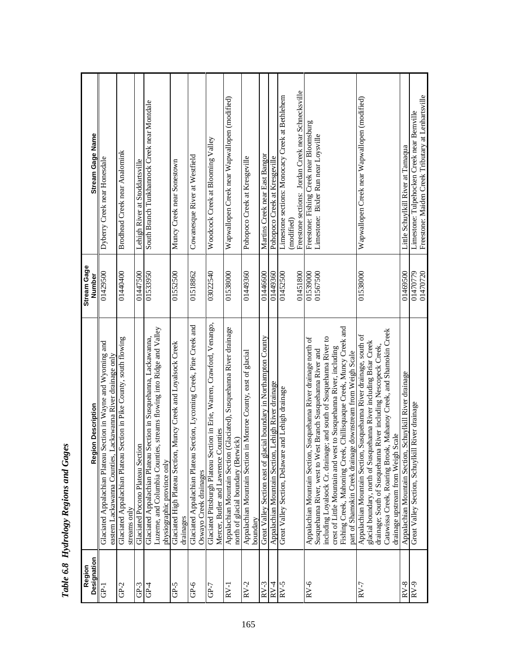| n m m m<br>3<br>b<br>ζ                                              |
|---------------------------------------------------------------------|
| (u.v<br>$\frac{1}{2}$                                               |
| $v_{\alpha\alpha}$<br>b                                             |
| i<br>١,                                                             |
| ֧֦֦֧֦֧֛֪֦֧֛֪֦֧֧֛֛֛֛֛֛֛֛֛֛֛֚֚֚֚֚֝֝֜֟֜֜֜֜֝֜֜֜֝֟֓֟֓֟֓֟֓֟֓֝֓֜֜֜֜֜֜֜֜֜֜֜ |
| ž<br>۰hl.                                                           |

| $\frac{\text{Designation}}{\text{GP-1}}$<br>Region | <b>Region Description</b>                                                                                                                                                                                                                                                                                                                                                                                              | <b>Stream Gage</b><br>Number | <b>Stream Gage Name</b>                                                                                              |
|----------------------------------------------------|------------------------------------------------------------------------------------------------------------------------------------------------------------------------------------------------------------------------------------------------------------------------------------------------------------------------------------------------------------------------------------------------------------------------|------------------------------|----------------------------------------------------------------------------------------------------------------------|
|                                                    | Glaciated Appalachian Plateau Section in Wayne and Wyoming and<br>eastern Lackawanna Counties, Lackawanna River drainage only                                                                                                                                                                                                                                                                                          | 01429500                     | Dyberry Creek near Honesdale                                                                                         |
| $GP-2$                                             | Glaciated Appalachian Plateau Section in Pike County, south flowing<br>streams only                                                                                                                                                                                                                                                                                                                                    | 01440400                     | Brodhead Creek near Analomink                                                                                        |
| $GP-3$                                             | Glaciated Pocono Plateau Section                                                                                                                                                                                                                                                                                                                                                                                       | 01447500                     | Lehigh River at Stoddartsville                                                                                       |
| $GP-4$                                             | streams flowing into Ridge and Valley<br>ection in Susquehanna, Lackawanna,<br>Luzerne, and Columbia Counties,<br>Glaciated Appalachian Plateau Se<br>physiographic province only                                                                                                                                                                                                                                      | 01533950                     | South Branch Tunkhannock Creek near Montdale                                                                         |
| $GP-5$                                             | Glaciated High Plateau Section, Muncy Creek and Loyalsock Creek<br>drainages                                                                                                                                                                                                                                                                                                                                           | 01552500                     | Muncy Creek near Sonestown                                                                                           |
| $GP-6$                                             | Glaciated Appalachian Plateau Section, Lycoming Creek, Pine Creek and<br>Oswayo Creek drainages                                                                                                                                                                                                                                                                                                                        | 01518862                     | Cowanesque River at Westfield                                                                                        |
| $GP-7$                                             | Glaciated Pittsburgh Plateau Section in Erie, Warren, Crawford, Venango,<br>Mercer, Butler and Lawrence Counties                                                                                                                                                                                                                                                                                                       | 03022540                     | Woodcock Creek at Blooming Valley                                                                                    |
| $RV-1$                                             | Appalachian Mountain Section (Glaciated), Susquehanna River drainage<br>north of glacial boundary (Berwick)                                                                                                                                                                                                                                                                                                            | 0008£510                     | Wapwallopen Creek near Wapwallopen (modified)                                                                        |
| $RV-2$                                             | Appalachian Mountain Section in Monroe County, east of glacial<br>boundary                                                                                                                                                                                                                                                                                                                                             | 01449360                     | Pohopoco Creek at Kresgeville                                                                                        |
| $RV-3$                                             | ial boundary in Northampton County<br>Great Valley Section east of glaci                                                                                                                                                                                                                                                                                                                                               | 01446600                     | Martins Creek near East Bangor                                                                                       |
| $RV-4$                                             | Appalachian Mountain Section, Lehigh River drainage                                                                                                                                                                                                                                                                                                                                                                    | 01449360                     | Pohopoco Creek at Kresgeville                                                                                        |
| $RV-5$                                             | Great Valley Section, Delaware and Lehigh drainage                                                                                                                                                                                                                                                                                                                                                                     | 01451800<br>01452500         | Freestone sections: Jordan Creek near Schnecksville<br>Limestone sections: Monocacy Creek at Bethlehem<br>(modified) |
| $RV-6$                                             | Chillisquaque Creek, Muncy Creek and<br>including Loyalsock Cr. drainage; and south of Susquehanna River to<br>Appalachian Mountain Section, Susquehanna River drainage north of<br>Susquehanna River, west to West Branch Susquehanna River and<br>crest of Little Mountain and west to Susquehanna River, including<br>part of Shamokin Creek drainage downstream from Weigh Scale<br>Fishing Creek, Mahoning Creek, | 01539000<br>01567500         | Freestone: Fishing Creek near Bloomsburg<br>Limestone: Bixler Run near Loysville                                     |
| $RV-7$                                             | Catawissa Creek, Roaring Brook, Mahanoy Creek, and Shamokin Creek<br>Appalachian Mountain Section, Susquehanna River drainage, south of<br>glacial boundary, north of Susquehanna River including Briar Creek<br>drainage; South of Susquehanna River including Nescopeck Creek,<br>drainage upstream from Weigh Scale                                                                                                 | 01538000                     | Wapwallopen Creek near Wapwallopen (modified)                                                                        |
| $RV-8$                                             | Appalachian Mountain Section, Schuylkill River drainage                                                                                                                                                                                                                                                                                                                                                                | 01469500                     | Little Schuylkill River at Tamaqua                                                                                   |
| $RV-9$                                             | River drainage<br>Great Valley Section, Schuylkill                                                                                                                                                                                                                                                                                                                                                                     | 01470779<br>01470720         | Freestone: Maiden Creek Tributary at Lenhartsville<br>Limestone: Tulpehocken Creek near Bernville                    |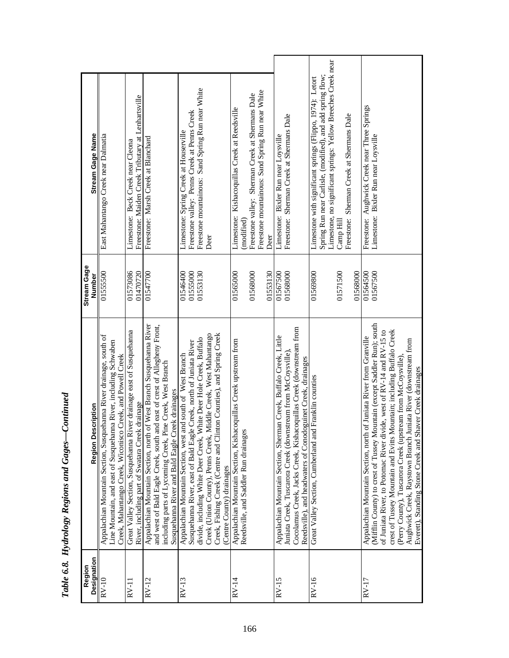| Designation<br>Region | Region Description                                                                                                                                                                                                                                                                                                                                                                                                                                                                              | <b>Stream Gage</b><br>Number     | Stream Gage Name                                                                                                                                                                                                                                      |
|-----------------------|-------------------------------------------------------------------------------------------------------------------------------------------------------------------------------------------------------------------------------------------------------------------------------------------------------------------------------------------------------------------------------------------------------------------------------------------------------------------------------------------------|----------------------------------|-------------------------------------------------------------------------------------------------------------------------------------------------------------------------------------------------------------------------------------------------------|
| $RV-10$               | Appalachian Mountain Section, Susquehanna River drainage, south of<br>Line Mountain, and east of Susquehanna River, including Schwaben<br>Creek, Mahantango Creek, Wiconisco Creek, and Powell Creek                                                                                                                                                                                                                                                                                            | 01555500                         | East Mahantango Creek near Dalmatia                                                                                                                                                                                                                   |
| $RV-11$               | Great Valley Section, Susquehanna River drainage east of Susquehanna<br>River, including part of Swatara Creek drainage                                                                                                                                                                                                                                                                                                                                                                         | 01573086<br>01470720             | Freestone: Maiden Creek Tributary at Lenhartsville<br>Limestone: Beck Creek near Cleona                                                                                                                                                               |
| $RV-12$               | Appalachian Mountain Section, north of West Branch Susquehanna River<br>and west of Bald Eagle Creek, south and east of crest of Allegheny Front,<br>including parts of Lycoming Creek, Pine Creek, West Branch<br>Susquehanna River and Bald Eagle Creek drainages                                                                                                                                                                                                                             | 01547700                         | Freestone: Marsh Creek at Blanchard                                                                                                                                                                                                                   |
| $RV-13$               | Creek (Union County), Penns Creek, Middle Creek, West Mahantango<br>Creek, Fishing Creek (Centre and Clinton Counties), and Spring Creek<br>divide, including White Deer Creek, White Deer Hole Creek, Buffalo<br>Susquehanna River, east of Bald Eagle Creek, north of Juniata River<br>Appalachian Mountain Section, west and south of West Branch<br>Centre County) drainages                                                                                                                | 01553130<br>01546400<br>01555000 | Freestone mountainous: Sand Spring Run near White<br>Freestone valley: Penns Creek at Penns Creek<br>Limestone: Spring Creek at Houserville<br>Deer                                                                                                   |
| $RV-14$               | Appalachian Mountain Section, Kishacoquillas Creek upstream from<br>Reedsville, and Saddler Run drainages                                                                                                                                                                                                                                                                                                                                                                                       | 01565000<br>01568000<br>01553130 | Freestone mountainous: Sand Spring Run near White<br>Freestone valley: Sherman Creek at Shermans Dale<br>Limestone: Kishacoquillas Creek at Reedsville<br>(modified)<br>Deer                                                                          |
| $RV-15$               | Cocolamus Creek, Jacks Creek, Kishacoquillas Creek (downstream from<br>Appalachian Mountain Section, Sherman Creek, Buffalo Creek, Little<br>Juniata Creek, Tuscarora Creek (downstream from McCoysville)<br>Reedsville), and headwaters of Conodoguinet Creek, drainages                                                                                                                                                                                                                       | 01568000<br>01567500             | Freestone: Sherman Creek at Shermans Dale<br>Limestone: Bixler Run near Loysville                                                                                                                                                                     |
| $RV-16$               | Franklin counties<br>Great Valley Section, Cumberland and                                                                                                                                                                                                                                                                                                                                                                                                                                       | 01571500<br>01568000<br>01569800 | Limestone, no significant springs: Yellow Breeches Creek near<br>Spring Run near Carlisle, (modified), and add spring flow;<br>Limestone with significant springs (Flippo, 1974): Letort<br>Sherman Creek at Shermans Dale<br>Freestone:<br>Camp Hill |
| $RV-17$               | (Mifflin County) to crest of Tussey Mountain (except Saddler Run); south<br>crest of Tussey Mountain and Evitts Mountain; including Buffalo Creek<br>of Juniata River, to Potomac River divide, west of RV-14 and RV-15 to<br>Appalachian Mountain Section, north of Juniata River from Granville<br>Aughwick Creek, Raystown Branch Juniata River (downstream from<br>(Perry County), Tuscarora Creek (upstream from McCoysville)<br>Everett), Standing Stone Creek and Shaver Creek drainages | 01567500<br>01564500             | Freestone: Aughwick Creek near Three Springs<br>Limestone: Bixler Run near Loysville                                                                                                                                                                  |

I

Τ

Т

Table 6.8. Hydrology Regions and Gages-Continued *Table 6.8. Hydrology Regions and Gages—Continued*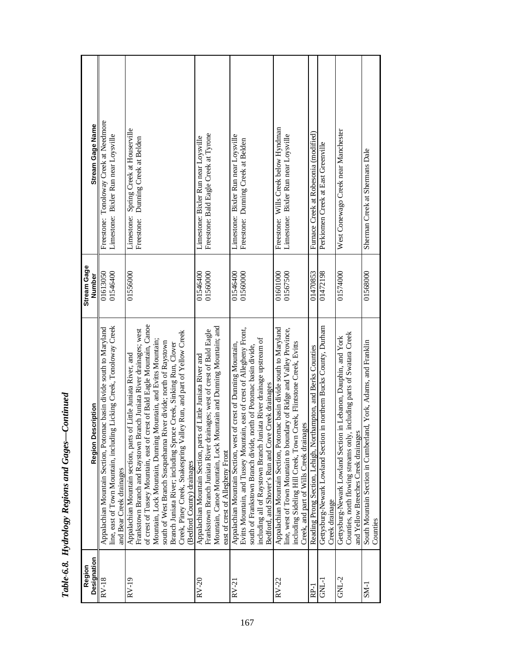| Stream Gage Name                    | Freestone: Tonoloway Creek at Needmore<br>Limestone: Bixler Run near Loysville                                                                                            | Limestone: Spring Creek at Houserville<br>Freestone: Dunning Creek at Belden                                                                                                                                                                                                                                                                                                                                                                                                                                                              | Freestone: Bald Eagle Creek at Tyrone<br>Limestone: Bixler Run near Loysville                                                                                                                                                                      | Limestone: Bixler Run near Loysville<br>Freestone: Dunning Creek at Belden                                                                                                                                                                                                                                                                    | Freestone: Wills Creek below Hyndman<br>Limestone: Bixler Run near Loysville                                                                                                                                                                                     | Furnace Creek at Robesonia (modified)                          | Perkiomen Creek at East Greenville                                                   | West Conewago Creek near Manchester                                                                                                                                              | Sherman Creek at Shermans Dale                                  |
|-------------------------------------|---------------------------------------------------------------------------------------------------------------------------------------------------------------------------|-------------------------------------------------------------------------------------------------------------------------------------------------------------------------------------------------------------------------------------------------------------------------------------------------------------------------------------------------------------------------------------------------------------------------------------------------------------------------------------------------------------------------------------------|----------------------------------------------------------------------------------------------------------------------------------------------------------------------------------------------------------------------------------------------------|-----------------------------------------------------------------------------------------------------------------------------------------------------------------------------------------------------------------------------------------------------------------------------------------------------------------------------------------------|------------------------------------------------------------------------------------------------------------------------------------------------------------------------------------------------------------------------------------------------------------------|----------------------------------------------------------------|--------------------------------------------------------------------------------------|----------------------------------------------------------------------------------------------------------------------------------------------------------------------------------|-----------------------------------------------------------------|
| <b>Stream Gage</b><br><b>Number</b> | 01546400<br>01613050                                                                                                                                                      | 01556000                                                                                                                                                                                                                                                                                                                                                                                                                                                                                                                                  | 01560000<br>01546400                                                                                                                                                                                                                               | 01560000<br>01546400                                                                                                                                                                                                                                                                                                                          | 01601000<br>01567500                                                                                                                                                                                                                                             | 01470853                                                       | 01472198                                                                             | 01574000                                                                                                                                                                         | 01568000                                                        |
| Region Description                  | line, east of Town Mountain, including Licking Creek, Tonoloway Creek<br>Appalachian Mountain Section, Potomac basin divide south to Maryland<br>and Bear Creek drainages | of crest of Tussey Mountain, east of crest of Bald Eagle Mountain, Canoe<br>Frankstown Branch and Raystown Branch Juniata River drainages; west<br>Creek, Piney Creek, Snakespring Valley Run, and part of Yellow Creek<br>Mountain, Lock Mountain, Dunning Mountain, and Evitts Mountain;<br>ver divide; north of Raystown<br>Branch Juniata River; including Spruce Creek, Sinking Run, Clover<br>Appalachian Mountain section, parts of Little Juniata River, and<br>south of West Branch Susquehanna Ri<br>(Bedford County) drainages | Mountain, Canoe Mountain, Lock Mountain and Dunning Mountain; and<br>Frankstown Branch Juniata River drainages; west of crest of Bald Eagle<br>Appalachian Mountain Section, parts of Little Juniata River and<br>east of crest of Allegheny Front | Evitts Mountain, and Tussey Mountain, east of crest of Allegheny Front,<br>including all of Raystown Branch Juniata River drainage upstream of<br>Appalachian Mountain Section, west of crest of Dunning Mountain,<br>south of Frankstown Branch divide, north of Potomac basin divide,<br>Bedford, and Shover's Run and Cove Creek drainages | Appalachian Mountain Section, Potomac basin divide south to Maryland<br>line, west of Town Mountain to boundary of Ridge and Valley Province,<br>including Sideling Hill Creek, Town Creek, Flintstone Creek, Evitts<br>Creek, and part of Wills Creek drainages | Reading Prong Section, Lehigh, Northampton, and Berks Counties | Gettysburg-Newark Lowland Section in northern Bucks County, Durham<br>Creek drainage | Counties, north flowing streams only, including parts of Swatara Creek<br>Gettysburg-Newark Lowland Section in Lebanon, Dauphin, and York<br>and Yellow Breeches Creek drainages | South Mountain Section in Cumberland, York, Adams, and Franklin |
| <b>Designation</b><br>Region        | $RV-18$                                                                                                                                                                   | $RV-19$                                                                                                                                                                                                                                                                                                                                                                                                                                                                                                                                   | $RV-20$                                                                                                                                                                                                                                            | $RV-21$                                                                                                                                                                                                                                                                                                                                       | $\text{RV-22}$                                                                                                                                                                                                                                                   | RP-1                                                           | <b>TTND</b>                                                                          | $GNL-2$                                                                                                                                                                          | $SM-1$                                                          |

| <b>SUCCES</b><br>ŏ<br>$\zeta$                  |
|------------------------------------------------|
| san er<br>∶<br>su<br>o                         |
| $\tau_{v}$ drology Regions and to<br>25.5<br>ì |
| Table 6.0.                                     |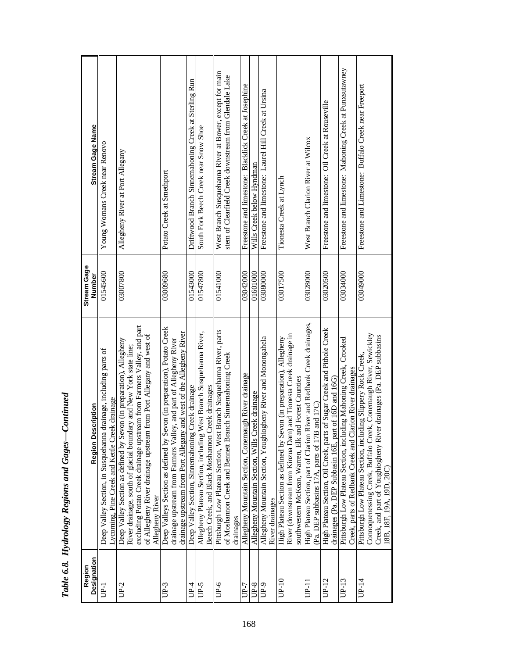| <b>Designation</b><br>Region | <b>Region Description</b>                                                                                                                                                                                                                                                                                     | <b>Stream Gage</b><br>Number | Stream Gage Name                                                                                                  |
|------------------------------|---------------------------------------------------------------------------------------------------------------------------------------------------------------------------------------------------------------------------------------------------------------------------------------------------------------|------------------------------|-------------------------------------------------------------------------------------------------------------------|
| $\overline{B}$               | Deep Valley Section, in Susquehanna drainage, including parts of<br>Lycoming, Pine Creek and Kettle Creek drainage                                                                                                                                                                                            | 01545600                     | Young Womans Creek near Renovo                                                                                    |
| $UP-2$                       | excluding Potato Creek drainage upstream from Farmers Valley, and part<br>of Allegheny River drainage upstream from Port Allegany and west of<br>Deep Valley Section as defined by Sevon (in preparation), Allegheny<br>River drainage, south of glacial boundary and New York state line;<br>Allegheny River | 03007800                     | Allegheny River at Port Allegany                                                                                  |
| UP-3                         | Deep Valleys Section as defined by Sevon (in preparation), Potato Creek<br>and west of the Allegheny River<br>drainage upstream from Farmers Valley, and part of Allegheny River<br>drainage upstream from Port Allegany                                                                                      | 03009680                     | Potato Creek at Smethport                                                                                         |
| UP-4                         | Deep Valley Section, Sinnemahoning Creek drainage                                                                                                                                                                                                                                                             | 01543000                     | Driftwood Branch Sinnemahoning Creek at Sterling Run                                                              |
| UP-5                         | West Branch Susquehanna River,<br>Beech Creek, and Black Moshannon Creek drainages<br>Allegheny Plateau Section, including                                                                                                                                                                                    | 01547800                     | South Fork Beech Creek near Snow Shoe                                                                             |
| UP-6                         | Pittsburgh Low Plateau Section, West Branch Susquehanna River, parts<br>of Moshannon Creek and Bennett Branch Sinnemahoning Creek<br>drainages                                                                                                                                                                | 01541000                     | West Branch Susquehanna River at Bower, except for main<br>stem of Clearfield Creek downstream from Glendale Lake |
| UP-7                         | Allegheny Mountain Section, Conemaugh River drainage                                                                                                                                                                                                                                                          | 03042000                     | Freestone and limestone: Blacklick Creek at Josephine                                                             |
| $UP-8$                       | Allegheny Mountain Section, Wills Creek drainage                                                                                                                                                                                                                                                              | 01601000                     | Wills Creek below Hyndman                                                                                         |
| UP-9                         | ogheny River and Monongahela<br>Allegheny Mountain Section, Youghic<br>River drainages                                                                                                                                                                                                                        | 03080000                     | Freestone and limestone: Laurel Hill Creek at Ursina                                                              |
| $UP-10$                      | River (downstream from Kinzua Dam) and Tionesta Creek drainage in<br>High Plateau Section as defined by Sevon (in preparation), Allegheny<br>southwestern McKean, Warren, Elk and Forest Counties                                                                                                             | 03017500                     | Tionesta Creek at Lynch                                                                                           |
| UP-11                        | River and Redbank Creek drainages,<br>and 17C)<br>(Pa. DEP subbasins 17A, parts of 17B<br>High Plateau Section, part of Clarion                                                                                                                                                                               | 03028000                     | West Branch Clarion River at Wilcox                                                                               |
| UP-12                        | High Plateau Section, Oil Creek, parts of Sugar Creek and Pithole Creek<br>drainages (Pa. DEP Subbasin 16E, part of 16D and 16G)                                                                                                                                                                              | 03020500                     | Freestone and limestone: Oil Creek at Rouseville                                                                  |
| $UP-13$                      | Pittsburgh Low Plateau Section, including Mahoning Creek, Crooked<br>Creek, parts of Redbank Creek and Clarion River drainages                                                                                                                                                                                | 03034000                     | Freestone and limestone: Mahoning Creek at Punxsutawney                                                           |
| UP-14                        | Connoquenessing Creek, Buffalo Creek, Conemaugh River, Sewickley<br>Creek, and part of Youghiogheny River drainages (Pa. DEP subbasins<br>Pittsburgh Low Plateau Section, including Slippery Rock Creek,<br>18B, 18F, 19A, 19D, 20C)                                                                          | 03049000                     | Freestone and Limestone: Buffalo Creek near Freeport                                                              |

Table 6.8. Hydrology Regions and Gages-Continued *Table 6.8. Hydrology Regions and Gages—Continued*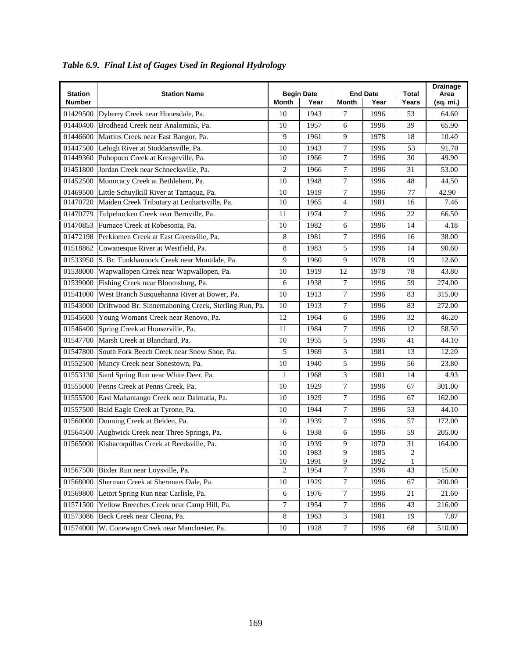| <b>Station</b><br><b>Number</b> | <b>Station Name</b>                                           | <b>Month</b>         | <b>Begin Date</b><br>Year | <b>Month</b>          | <b>End Date</b><br>Year | <b>Total</b><br>Years | <b>Drainage</b><br>Area<br>(sq. mi.) |
|---------------------------------|---------------------------------------------------------------|----------------------|---------------------------|-----------------------|-------------------------|-----------------------|--------------------------------------|
|                                 | 01429500 Dyberry Creek near Honesdale, Pa.                    | 10                   | 1943                      | 7                     | 1996                    | 53                    | 64.60                                |
|                                 | 01440400 Brodhead Creek near Analomink, Pa.                   | 10                   | 1957                      | 6                     | 1996                    | 39                    | 65.90                                |
|                                 | 01446600 Martins Creek near East Bangor, Pa.                  | 9                    | 1961                      | 9                     | 1978                    | 18                    | 10.40                                |
|                                 | 01447500 Lehigh River at Stoddartsville, Pa.                  | 10                   | 1943                      | 7                     | 1996                    | 53                    | 91.70                                |
|                                 | 01449360 Pohopoco Creek at Kresgeville, Pa.                   | 10                   | 1966                      | $\boldsymbol{7}$      | 1996                    | 30                    | 49.90                                |
|                                 | 01451800 Jordan Creek near Schnecksville, Pa.                 | $\overline{c}$       | 1966                      | 7                     | 1996                    | 31                    | 53.00                                |
|                                 | 01452500 Monocacy Creek at Bethlehem, Pa.                     | 10                   | 1948                      | $\tau$                | 1996                    | 48                    | 44.50                                |
|                                 | 01469500 Little Schuylkill River at Tamaqua, Pa.              | 10                   | 1919                      | $\tau$                | 1996                    | 77                    | 42.90                                |
|                                 | 01470720 Maiden Creek Tributary at Lenhartsville, Pa.         | 10                   | 1965                      | $\overline{4}$        | 1981                    | 16                    | 7.46                                 |
|                                 | 01470779 Tulpehocken Creek near Bernville, Pa.                | 11                   | 1974                      | $\overline{7}$        | 1996                    | 22                    | 66.50                                |
|                                 | 01470853 Furnace Creek at Robesonia, Pa.                      | 10                   | 1982                      | 6                     | 1996                    | 14                    | 4.18                                 |
|                                 | 01472198 Perkiomen Creek at East Greenville, Pa.              | 8                    | 1981                      | 7                     | 1996                    | 16                    | 38.00                                |
|                                 | 01518862 Cowanesque River at Westfield, Pa.                   | 8                    | 1983                      | 5                     | 1996                    | 14                    | 90.60                                |
|                                 | 01533950 S. Br. Tunkhannock Creek near Montdale, Pa.          | 9                    | 1960                      | 9                     | 1978                    | 19                    | 12.60                                |
|                                 | 01538000 Wapwallopen Creek near Wapwallopen, Pa.              | 10 <sup>10</sup>     | 1919                      | 12                    | 1978                    | 78                    | 43.80                                |
|                                 | 01539000 Fishing Creek near Bloomsburg, Pa.                   | 6                    | 1938                      | $\boldsymbol{7}$      | 1996                    | 59                    | 274.00                               |
|                                 | 01541000 West Branch Susquehanna River at Bower, Pa.          | 10                   | 1913                      | $\tau$                | 1996                    | 83                    | 315.00                               |
|                                 | 01543000 Driftwood Br. Sinnemahoning Creek, Sterling Run, Pa. | 10                   | 1913                      | $\tau$                | 1996                    | 83                    | 272.00                               |
|                                 | 01545600 Young Womans Creek near Renovo, Pa.                  | 12                   | 1964                      | 6                     | 1996                    | 32                    | 46.20                                |
| 01546400                        | Spring Creek at Houserville, Pa.                              | 11                   | 1984                      | 7                     | 1996                    | 12                    | 58.50                                |
|                                 | 01547700 Marsh Creek at Blanchard, Pa.                        | 10                   | 1955                      | 5                     | 1996                    | 41                    | 44.10                                |
|                                 | 01547800 South Fork Beech Creek near Snow Shoe, Pa.           | 5                    | 1969                      | 3                     | 1981                    | 13                    | 12.20                                |
|                                 | 01552500 Muncy Creek near Sonestown, Pa.                      | $\overline{10}$      | 1940                      | 5                     | 1996                    | 56                    | 23.80                                |
|                                 | 01553130 Sand Spring Run near White Deer, Pa.                 | $\mathbf{1}$         | 1968                      | $\mathfrak{Z}$        | 1981                    | 14                    | 4.93                                 |
|                                 | 01555000 Penns Creek at Penns Creek, Pa.                      | $\overline{10}$      | 1929                      | $\overline{7}$        | 1996                    | 67                    | 301.00                               |
|                                 | 01555500 East Mahantango Creek near Dalmatia, Pa.             | 10                   | 1929                      | $\tau$                | 1996                    | 67                    | 162.00                               |
|                                 | 01557500 Bald Eagle Creek at Tyrone, Pa.                      | 10                   | 1944                      | $\overline{7}$        | 1996                    | 53                    | 44.10                                |
|                                 | 01560000 Dunning Creek at Belden, Pa.                         | 10                   | 1939                      | $\overline{7}$        | 1996                    | 57                    | 172.00                               |
|                                 | 01564500 Aughwick Creek near Three Springs, Pa.               | 6                    | 1938                      | $6\,$                 | 1996                    | 59                    | 205.00                               |
| 01565000                        | Kishacoquillas Creek at Reedsville, Pa.                       | 10                   | 1939                      | 9                     | 1970                    | 31                    | 164.00                               |
|                                 |                                                               | $10\,$               | 1983                      | $\overline{9}$        | 1985                    | 2                     |                                      |
|                                 | Bixler Run near Loysville, Pa.                                | 10<br>$\overline{2}$ | 1991<br>1954              | 9<br>$\boldsymbol{7}$ | 1992<br>1996            | 1<br>43               | 15.00                                |
| 01567500<br>01568000            | Sherman Creek at Shermans Dale, Pa.                           | 10                   |                           | $\boldsymbol{7}$      |                         |                       | 200.00                               |
|                                 |                                                               |                      | 1929                      |                       | 1996                    | 67                    |                                      |
|                                 | 01569800 Letort Spring Run near Carlisle, Pa.                 | 6                    | 1976                      | $\tau$                | 1996                    | 21                    | 21.60                                |
| 01571500                        | Yellow Breeches Creek near Camp Hill, Pa.                     | 7                    | 1954                      | $\tau$                | 1996                    | 43                    | 216.00                               |
|                                 | 01573086 Beck Creek near Cleona, Pa.                          | 8                    | 1963                      | $\mathfrak{Z}$        | 1981                    | 19                    | 7.87                                 |
|                                 | 01574000 W. Conewago Creek near Manchester, Pa.               | $10\,$               | 1928                      | $\overline{7}$        | 1996                    | 68                    | 510.00                               |

 *Table 6.9. Final List of Gages Used in Regional Hydrology*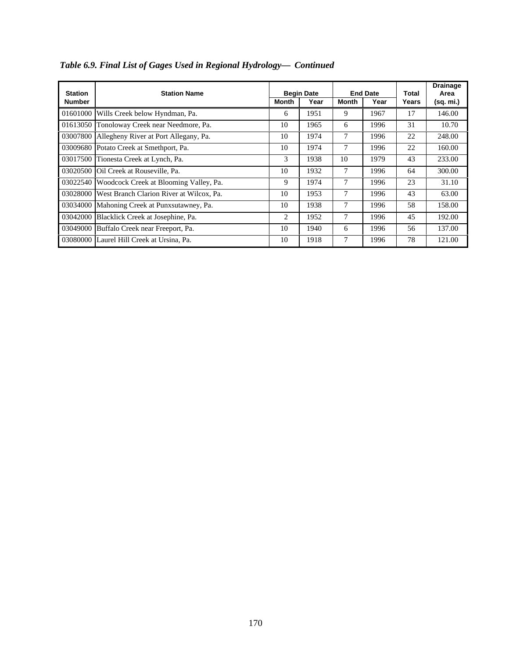| <b>Station</b> | <b>Station Name</b>                               |                | <b>Begin Date</b> |                | <b>End Date</b> | Total | <b>Drainage</b><br>Area |
|----------------|---------------------------------------------------|----------------|-------------------|----------------|-----------------|-------|-------------------------|
| <b>Number</b>  |                                                   | <b>Month</b>   | Year              | Month          | Year            | Years | (sq. mi.)               |
| 01601000       | Wills Creek below Hyndman, Pa.                    | 6              | 1951              | 9              | 1967            | 17    | 146.00                  |
|                | 01613050 Tonoloway Creek near Needmore, Pa.       | 10             | 1965              | 6              | 1996            | 31    | 10.70                   |
| 03007800       | Allegheny River at Port Allegany, Pa.             | 10             | 1974              | 7              | 1996            | 22    | 248.00                  |
|                | 03009680 Potato Creek at Smethport, Pa.           | 10             | 1974              | 7              | 1996            | 22    | 160.00                  |
|                | 03017500 Tionesta Creek at Lynch, Pa.             | 3              | 1938              | 10             | 1979            | 43    | 233.00                  |
|                | 03020500 Oil Creek at Rouseville. Pa.             | 10             | 1932              | $\overline{7}$ | 1996            | 64    | 300.00                  |
|                | 03022540 Woodcock Creek at Blooming Valley, Pa.   | 9              | 1974              | $\tau$         | 1996            | 23    | 31.10                   |
|                | 03028000 West Branch Clarion River at Wilcox, Pa. | 10             | 1953              | 7              | 1996            | 43    | 63.00                   |
| 03034000       | Mahoning Creek at Punxsutawney, Pa.               | 10             | 1938              | $\tau$         | 1996            | 58    | 158.00                  |
| 03042000       | Blacklick Creek at Josephine, Pa.                 | $\overline{c}$ | 1952              | $\tau$         | 1996            | 45    | 192.00                  |
|                | 03049000 Buffalo Creek near Freeport, Pa.         | 10             | 1940              | 6              | 1996            | 56    | 137.00                  |
|                | 03080000 Laurel Hill Creek at Ursina, Pa.         | 10             | 1918              | 7              | 1996            | 78    | 121.00                  |

*Table 6.9. Final List of Gages Used in Regional Hydrology— Continued*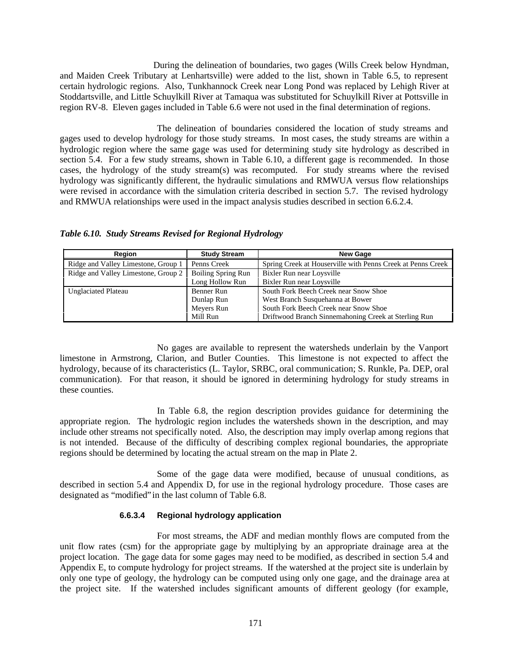During the delineation of boundaries, two gages (Wills Creek below Hyndman, and Maiden Creek Tributary at Lenhartsville) were added to the list, shown in Table 6.5, to represent certain hydrologic regions. Also, Tunkhannock Creek near Long Pond was replaced by Lehigh River at Stoddartsville, and Little Schuylkill River at Tamaqua was substituted for Schuylkill River at Pottsville in region RV-8. Eleven gages included in Table 6.6 were not used in the final determination of regions.

The delineation of boundaries considered the location of study streams and gages used to develop hydrology for those study streams. In most cases, the study streams are within a hydrologic region where the same gage was used for determining study site hydrology as described in section 5.4. For a few study streams, shown in Table 6.10, a different gage is recommended. In those cases, the hydrology of the study stream(s) was recomputed. For study streams where the revised hydrology was significantly different, the hydraulic simulations and RMWUA versus flow relationships were revised in accordance with the simulation criteria described in section 5.7. The revised hydrology and RMWUA relationships were used in the impact analysis studies described in section 6.6.2.4.

*Table 6.10. Study Streams Revised for Regional Hydrology*

| <b>Region</b>                       | <b>Study Stream</b>       | <b>New Gage</b>                                             |
|-------------------------------------|---------------------------|-------------------------------------------------------------|
| Ridge and Valley Limestone, Group 1 | Penns Creek               | Spring Creek at Houserville with Penns Creek at Penns Creek |
| Ridge and Valley Limestone, Group 2 | <b>Boiling Spring Run</b> | Bixler Run near Loysville                                   |
|                                     | Long Hollow Run           | Bixler Run near Loysville                                   |
| <b>Unglaciated Plateau</b>          | Benner Run                | South Fork Beech Creek near Snow Shoe                       |
|                                     | Dunlap Run                | West Branch Susquehanna at Bower                            |
|                                     | Meyers Run                | South Fork Beech Creek near Snow Shoe                       |
|                                     | Mill Run                  | Driftwood Branch Sinnemahoning Creek at Sterling Run        |

No gages are available to represent the watersheds underlain by the Vanport limestone in Armstrong, Clarion, and Butler Counties. This limestone is not expected to affect the hydrology, because of its characteristics (L. Taylor, SRBC, oral communication; S. Runkle, Pa. DEP, oral communication). For that reason, it should be ignored in determining hydrology for study streams in these counties.

In Table 6.8, the region description provides guidance for determining the appropriate region. The hydrologic region includes the watersheds shown in the description, and may include other streams not specifically noted. Also, the description may imply overlap among regions that is not intended. Because of the difficulty of describing complex regional boundaries, the appropriate regions should be determined by locating the actual stream on the map in Plate 2.

Some of the gage data were modified, because of unusual conditions, as described in section 5.4 and Appendix D, for use in the regional hydrology procedure. Those cases are designated as "modified" in the last column of Table 6.8.

## **6.6.3.4 Regional hydrology application**

For most streams, the ADF and median monthly flows are computed from the unit flow rates (csm) for the appropriate gage by multiplying by an appropriate drainage area at the project location. The gage data for some gages may need to be modified, as described in section 5.4 and Appendix E, to compute hydrology for project streams. If the watershed at the project site is underlain by only one type of geology, the hydrology can be computed using only one gage, and the drainage area at the project site. If the watershed includes significant amounts of different geology (for example,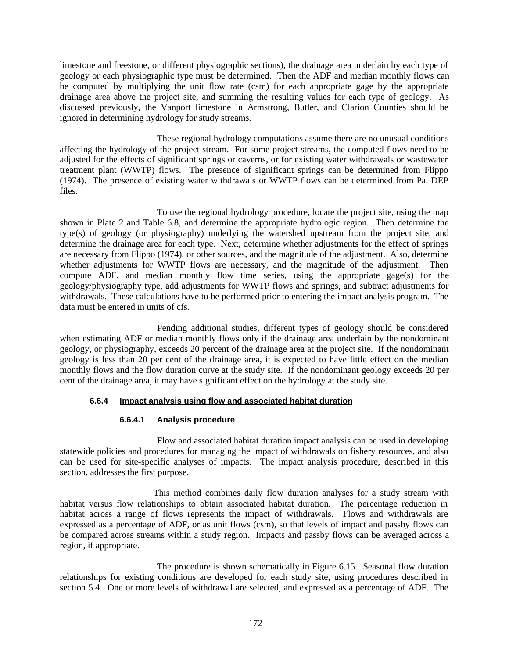limestone and freestone, or different physiographic sections), the drainage area underlain by each type of geology or each physiographic type must be determined. Then the ADF and median monthly flows can be computed by multiplying the unit flow rate (csm) for each appropriate gage by the appropriate drainage area above the project site, and summing the resulting values for each type of geology. As discussed previously, the Vanport limestone in Armstrong, Butler, and Clarion Counties should be ignored in determining hydrology for study streams.

These regional hydrology computations assume there are no unusual conditions affecting the hydrology of the project stream. For some project streams, the computed flows need to be adjusted for the effects of significant springs or caverns, or for existing water withdrawals or wastewater treatment plant (WWTP) flows. The presence of significant springs can be determined from Flippo (1974). The presence of existing water withdrawals or WWTP flows can be determined from Pa. DEP files.

To use the regional hydrology procedure, locate the project site, using the map shown in Plate 2 and Table 6.8, and determine the appropriate hydrologic region. Then determine the type(s) of geology (or physiography) underlying the watershed upstream from the project site, and determine the drainage area for each type. Next, determine whether adjustments for the effect of springs are necessary from Flippo (1974), or other sources, and the magnitude of the adjustment. Also, determine whether adjustments for WWTP flows are necessary, and the magnitude of the adjustment. Then compute ADF, and median monthly flow time series, using the appropriate gage(s) for the geology/physiography type, add adjustments for WWTP flows and springs, and subtract adjustments for withdrawals. These calculations have to be performed prior to entering the impact analysis program. The data must be entered in units of cfs.

Pending additional studies, different types of geology should be considered when estimating ADF or median monthly flows only if the drainage area underlain by the nondominant geology, or physiography, exceeds 20 percent of the drainage area at the project site. If the nondominant geology is less than 20 per cent of the drainage area, it is expected to have little effect on the median monthly flows and the flow duration curve at the study site. If the nondominant geology exceeds 20 per cent of the drainage area, it may have significant effect on the hydrology at the study site.

# **6.6.4 Impact analysis using flow and associated habitat duration**

# **6.6.4.1 Analysis procedure**

Flow and associated habitat duration impact analysis can be used in developing statewide policies and procedures for managing the impact of withdrawals on fishery resources, and also can be used for site-specific analyses of impacts. The impact analysis procedure, described in this section, addresses the first purpose.

This method combines daily flow duration analyses for a study stream with habitat versus flow relationships to obtain associated habitat duration. The percentage reduction in habitat across a range of flows represents the impact of withdrawals. Flows and withdrawals are expressed as a percentage of ADF, or as unit flows (csm), so that levels of impact and passby flows can be compared across streams within a study region. Impacts and passby flows can be averaged across a region, if appropriate.

The procedure is shown schematically in Figure 6.15. Seasonal flow duration relationships for existing conditions are developed for each study site, using procedures described in section 5.4. One or more levels of withdrawal are selected, and expressed as a percentage of ADF. The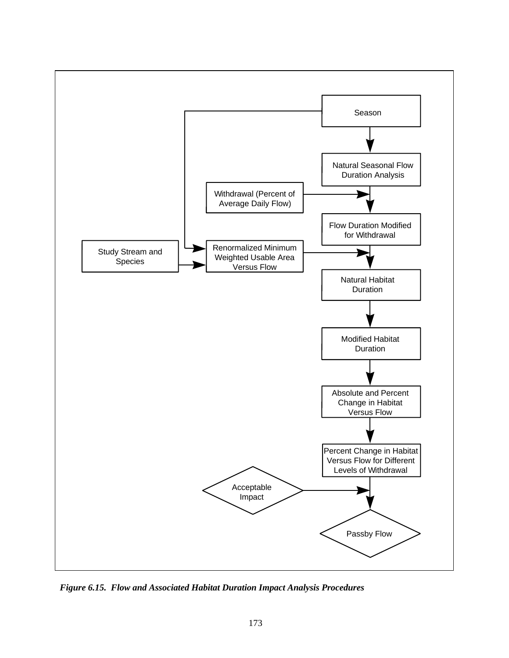

*Figure 6.15. Flow and Associated Habitat Duration Impact Analysis Procedures*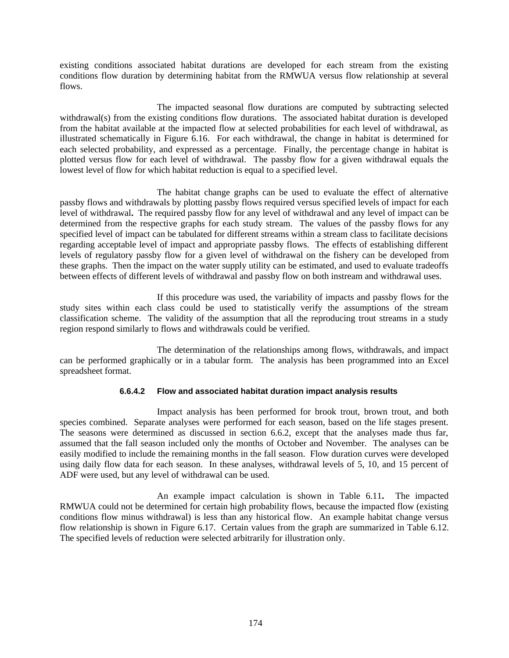existing conditions associated habitat durations are developed for each stream from the existing conditions flow duration by determining habitat from the RMWUA versus flow relationship at several flows.

The impacted seasonal flow durations are computed by subtracting selected withdrawal(s) from the existing conditions flow durations. The associated habitat duration is developed from the habitat available at the impacted flow at selected probabilities for each level of withdrawal, as illustrated schematically in Figure 6.16. For each withdrawal, the change in habitat is determined for each selected probability, and expressed as a percentage. Finally, the percentage change in habitat is plotted versus flow for each level of withdrawal. The passby flow for a given withdrawal equals the lowest level of flow for which habitat reduction is equal to a specified level.

The habitat change graphs can be used to evaluate the effect of alternative passby flows and withdrawals by plotting passby flows required versus specified levels of impact for each level of withdrawal**.** The required passby flow for any level of withdrawal and any level of impact can be determined from the respective graphs for each study stream. The values of the passby flows for any specified level of impact can be tabulated for different streams within a stream class to facilitate decisions regarding acceptable level of impact and appropriate passby flows. The effects of establishing different levels of regulatory passby flow for a given level of withdrawal on the fishery can be developed from these graphs. Then the impact on the water supply utility can be estimated, and used to evaluate tradeoffs between effects of different levels of withdrawal and passby flow on both instream and withdrawal uses.

If this procedure was used, the variability of impacts and passby flows for the study sites within each class could be used to statistically verify the assumptions of the stream classification scheme. The validity of the assumption that all the reproducing trout streams in a study region respond similarly to flows and withdrawals could be verified.

The determination of the relationships among flows, withdrawals, and impact can be performed graphically or in a tabular form. The analysis has been programmed into an Excel spreadsheet format.

## **6.6.4.2 Flow and associated habitat duration impact analysis results**

Impact analysis has been performed for brook trout, brown trout, and both species combined. Separate analyses were performed for each season, based on the life stages present. The seasons were determined as discussed in section 6.6.2, except that the analyses made thus far, assumed that the fall season included only the months of October and November. The analyses can be easily modified to include the remaining months in the fall season. Flow duration curves were developed using daily flow data for each season. In these analyses, withdrawal levels of 5, 10, and 15 percent of ADF were used, but any level of withdrawal can be used.

An example impact calculation is shown in Table 6.11**.** The impacted RMWUA could not be determined for certain high probability flows, because the impacted flow (existing conditions flow minus withdrawal) is less than any historical flow. An example habitat change versus flow relationship is shown in Figure 6.17. Certain values from the graph are summarized in Table 6.12. The specified levels of reduction were selected arbitrarily for illustration only.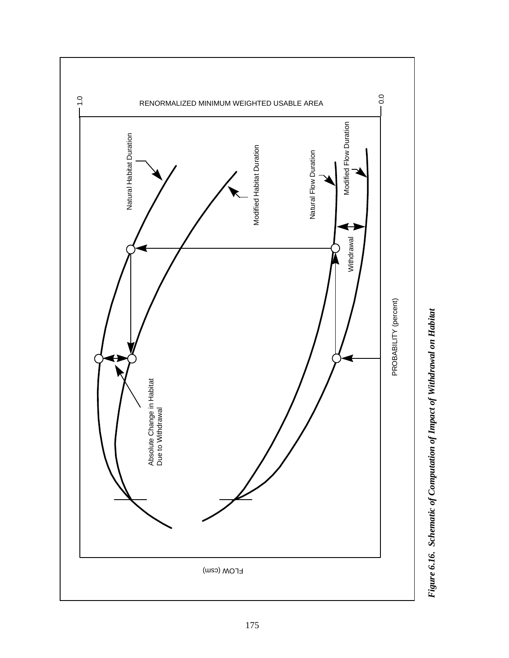

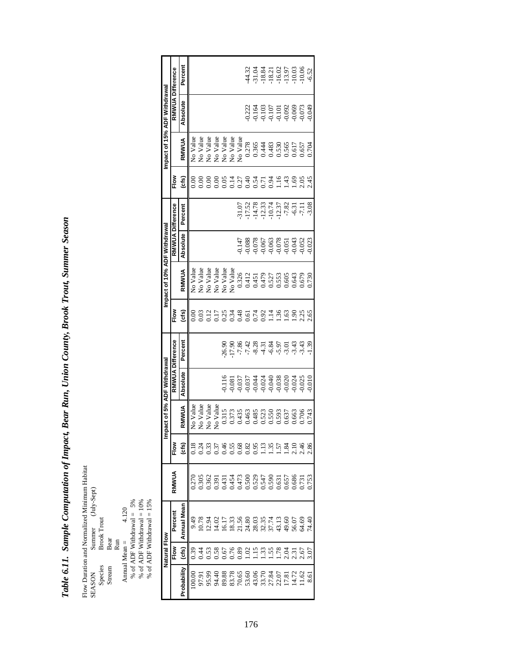Table 6.11. Sample Computation of Impact, Bear Run, Union County, Brook Trout, Summer Season *Table 6.11. Sample Computation of Impact, Bear Run, Union County, Brook Trout, Summer Season*

Flow Duration and Normalized Minimum Habitat SEASON Summer (July-Sept) Flow Duration and Normalized Minimum Habitat Species Brook Trout (July-Sept)<br>Species Brook Trout Steeam Bear Run<br>Annual Mean =  $4.120$ <br>% of ADF Withdrawal = 5% % of ADF Withdrawal = 10% % of ADF Withdrawal = 10% % of ADF

Species Brook Trout

Stream Bear

Annual Mean =  $4.120$ 

% of ADF Withdrawal = 5%

% of ADF Withdrawal = 10%

% of ADF Withdrawal = 15%

| Natural Flow         |             |        | <u>ε</u>             | pact of 5% ADF Withdrawal                                   |                                                        |                  |                             | Impact of 10% ADF Withdrawal                                                                                                                |                                                                                                                                                                                                                                                                                                     |                                                                      |                   |                 | mpact of 15% ADF Withdrawal                        |                                                     |
|----------------------|-------------|--------|----------------------|-------------------------------------------------------------|--------------------------------------------------------|------------------|-----------------------------|---------------------------------------------------------------------------------------------------------------------------------------------|-----------------------------------------------------------------------------------------------------------------------------------------------------------------------------------------------------------------------------------------------------------------------------------------------------|----------------------------------------------------------------------|-------------------|-----------------|----------------------------------------------------|-----------------------------------------------------|
| Flow                 | Percent     | RMWVUA | Flow                 |                                                             |                                                        | RMWUA Difference | Flow                        |                                                                                                                                             |                                                                                                                                                                                                                                                                                                     | RMWUA Difference                                                     | no∝<br>⊾          |                 | RMWUA Difference                                   |                                                     |
| (cts)                | Annual Mean |        | (cfs)                | RMWUA                                                       | Absolute                                               | Percent          | (cfs)                       | RMWUA                                                                                                                                       | <b>Absolute</b>                                                                                                                                                                                                                                                                                     | Percent                                                              | (cfs)             | RMWUA           | Absolute                                           | Percent                                             |
| 0.39                 | 9.49        | 0.270  | 0.18                 | No Value                                                    |                                                        |                  | 0.00                        | No Value                                                                                                                                    |                                                                                                                                                                                                                                                                                                     |                                                                      | $\frac{8}{2}$     | <b>No Value</b> |                                                    |                                                     |
| 3.44                 |             |        | 0.24                 | No Value                                                    |                                                        |                  |                             | No Value                                                                                                                                    |                                                                                                                                                                                                                                                                                                     |                                                                      |                   | No Value        |                                                    |                                                     |
| 53.                  |             |        |                      | No Value                                                    |                                                        |                  | 0.03                        | No Value                                                                                                                                    |                                                                                                                                                                                                                                                                                                     |                                                                      |                   | No Value        |                                                    |                                                     |
| 0.58                 |             |        |                      | No Value                                                    |                                                        |                  | 0.17                        | No Value                                                                                                                                    |                                                                                                                                                                                                                                                                                                     |                                                                      |                   | No Value        |                                                    |                                                     |
| .67                  |             |        | 0.37                 | 0.315                                                       | 0.116                                                  | 26.90            |                             | No Value                                                                                                                                    |                                                                                                                                                                                                                                                                                                     |                                                                      |                   | No Value        |                                                    |                                                     |
| 97.                  |             |        | .55                  |                                                             |                                                        | 17.90            |                             | No Value                                                                                                                                    |                                                                                                                                                                                                                                                                                                     |                                                                      |                   | No Value        |                                                    |                                                     |
| 0.89                 |             |        | .68                  |                                                             |                                                        |                  |                             |                                                                                                                                             |                                                                                                                                                                                                                                                                                                     |                                                                      |                   | No Value        |                                                    |                                                     |
| 1.02                 |             |        | 0.82                 |                                                             |                                                        |                  |                             |                                                                                                                                             |                                                                                                                                                                                                                                                                                                     |                                                                      |                   |                 | 0.222                                              |                                                     |
| $\ddot{5}$           |             |        | 0.95                 | 1373<br>0.435<br>0.4383<br>0.593<br>0.663<br>0.663<br>0.663 | 0.081<br>0.0377<br>0.0377<br>0.04440<br>0.038<br>0.024 |                  | 234814231463<br>00000011.60 | $\begin{array}{r} 0.326 \\ 0.412 \\ 0.451 \\ 0.479 \\ 0.527 \\ 0.605 \\ 0.603 \\ 0.6043 \\ 0.679 \\ 0.730 \\ 0.730 \\ 0.730 \\ \end{array}$ | $\begin{array}{l} 0.147 \\ 0.088 \\ 0.078 \\ 0.078 \\ 0.070 \\ 0.003 \\ 0.003 \\ 0.003 \\ 0.003 \\ 0.003 \\ 0.003 \\ 0.003 \\ 0.003 \\ 0.003 \\ 0.003 \\ 0.003 \\ 0.003 \\ 0.003 \\ 0.003 \\ 0.003 \\ 0.003 \\ 0.003 \\ 0.003 \\ 0.003 \\ 0.003 \\ 0.003 \\ 0.003 \\ 0.003 \\ 0.003 \\ 0.003 \\ 0.$ | 51.07<br>17.52.33<br>51.14.19.17.17.17.18<br>51.11.19.17.17.17.17.17 |                   |                 | 0.164<br>0.105<br>0.101<br>0.092<br>0.073<br>0.049 | 43.32<br>53.34.31<br>4.53.31.31.90<br>4.53.31.90.00 |
| 33                   |             |        | 1.13                 |                                                             |                                                        |                  |                             |                                                                                                                                             |                                                                                                                                                                                                                                                                                                     |                                                                      |                   |                 |                                                    |                                                     |
| 1.55                 |             |        | 1.35                 |                                                             |                                                        |                  |                             |                                                                                                                                             |                                                                                                                                                                                                                                                                                                     |                                                                      |                   |                 |                                                    |                                                     |
| 1.78                 |             |        | بع.<br>أ             |                                                             |                                                        |                  |                             |                                                                                                                                             |                                                                                                                                                                                                                                                                                                     |                                                                      |                   |                 |                                                    |                                                     |
|                      |             |        | x,                   |                                                             |                                                        |                  |                             |                                                                                                                                             |                                                                                                                                                                                                                                                                                                     |                                                                      | $3.198$<br>$1.49$ |                 |                                                    |                                                     |
|                      |             |        |                      |                                                             |                                                        |                  |                             |                                                                                                                                             |                                                                                                                                                                                                                                                                                                     |                                                                      |                   |                 |                                                    |                                                     |
| 2.31<br>2.31<br>2.67 |             |        | 2.16<br>2.46<br>2.86 | 0.706                                                       | 0.025                                                  |                  |                             |                                                                                                                                             |                                                                                                                                                                                                                                                                                                     |                                                                      | 2.45              |                 |                                                    |                                                     |
|                      |             |        |                      | 0.743                                                       | 0.010                                                  |                  |                             |                                                                                                                                             |                                                                                                                                                                                                                                                                                                     |                                                                      |                   |                 |                                                    | $-6.52$                                             |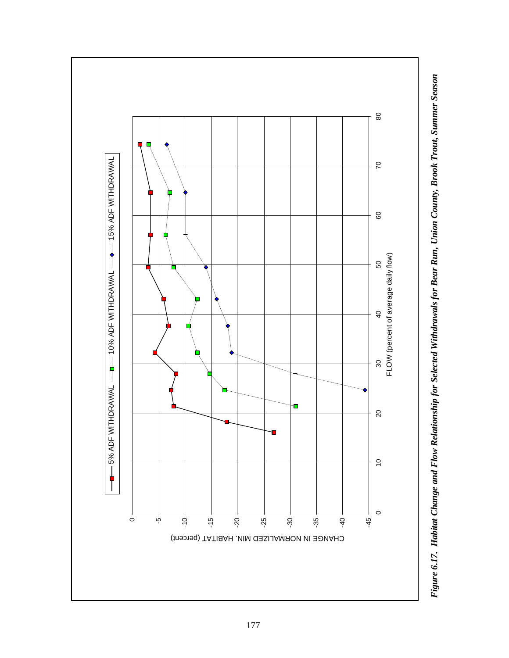

Figure 6.17. Habitat Change and Flow Relationship for Selected Withdrawals for Bear Run, Union County, Brook Trout, Summer Season *Figure 6.17. Habitat Change and Flow Relationship for Selected Withdrawals for Bear Run, Union County, Brook Trout, Summer Season*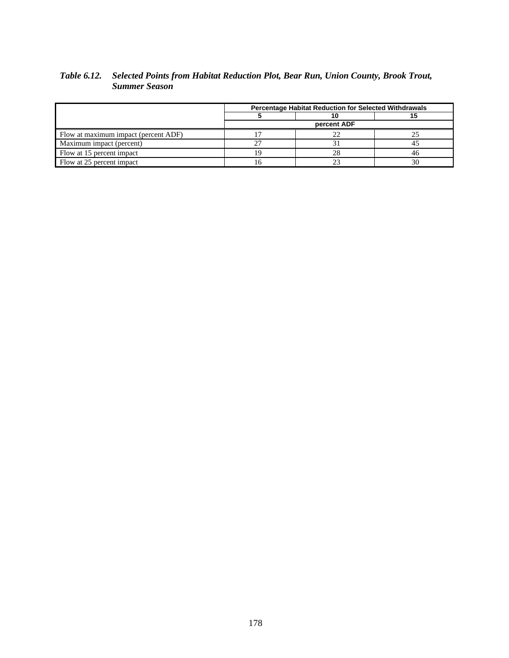# *Table 6.12. Selected Points from Habitat Reduction Plot, Bear Run, Union County, Brook Trout, Summer Season*

|                                      | <b>Percentage Habitat Reduction for Selected Withdrawals</b> |    |
|--------------------------------------|--------------------------------------------------------------|----|
|                                      |                                                              |    |
|                                      | percent ADF                                                  |    |
| Flow at maximum impact (percent ADF) |                                                              |    |
| Maximum impact (percent)             |                                                              |    |
| Flow at 15 percent impact            | 28                                                           | 46 |
| Flow at 25 percent impact            |                                                              | 30 |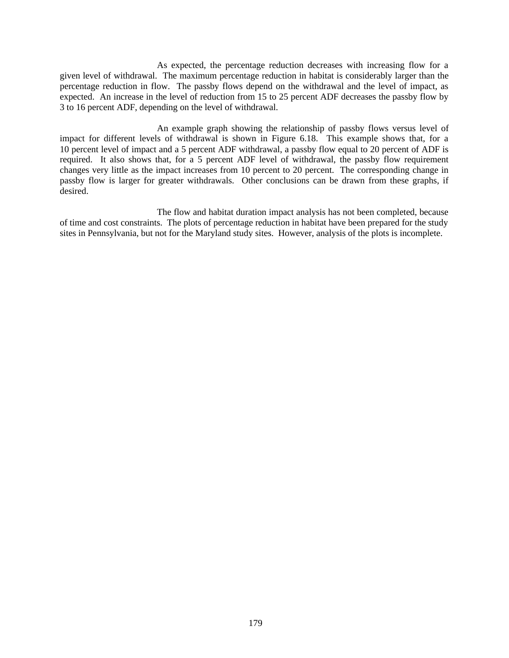As expected, the percentage reduction decreases with increasing flow for a given level of withdrawal. The maximum percentage reduction in habitat is considerably larger than the percentage reduction in flow. The passby flows depend on the withdrawal and the level of impact, as expected. An increase in the level of reduction from 15 to 25 percent ADF decreases the passby flow by 3 to 16 percent ADF, depending on the level of withdrawal.

An example graph showing the relationship of passby flows versus level of impact for different levels of withdrawal is shown in Figure 6.18. This example shows that, for a 10 percent level of impact and a 5 percent ADF withdrawal, a passby flow equal to 20 percent of ADF is required. It also shows that, for a 5 percent ADF level of withdrawal, the passby flow requirement changes very little as the impact increases from 10 percent to 20 percent. The corresponding change in passby flow is larger for greater withdrawals. Other conclusions can be drawn from these graphs, if desired.

The flow and habitat duration impact analysis has not been completed, because of time and cost constraints. The plots of percentage reduction in habitat have been prepared for the study sites in Pennsylvania, but not for the Maryland study sites. However, analysis of the plots is incomplete.